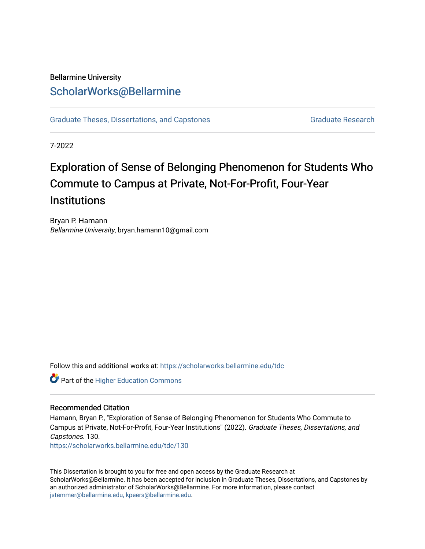# Bellarmine University [ScholarWorks@Bellarmine](https://scholarworks.bellarmine.edu/)

[Graduate Theses, Dissertations, and Capstones](https://scholarworks.bellarmine.edu/tdc) [Graduate Research](https://scholarworks.bellarmine.edu/grad) Graduate Research

7-2022

# Exploration of Sense of Belonging Phenomenon for Students Who Commute to Campus at Private, Not-For-Profit, Four-Year **Institutions**

Bryan P. Hamann Bellarmine University, bryan.hamann10@gmail.com

Follow this and additional works at: [https://scholarworks.bellarmine.edu/tdc](https://scholarworks.bellarmine.edu/tdc?utm_source=scholarworks.bellarmine.edu%2Ftdc%2F130&utm_medium=PDF&utm_campaign=PDFCoverPages) 



#### Recommended Citation

Hamann, Bryan P., "Exploration of Sense of Belonging Phenomenon for Students Who Commute to Campus at Private, Not-For-Profit, Four-Year Institutions" (2022). Graduate Theses, Dissertations, and Capstones. 130.

[https://scholarworks.bellarmine.edu/tdc/130](https://scholarworks.bellarmine.edu/tdc/130?utm_source=scholarworks.bellarmine.edu%2Ftdc%2F130&utm_medium=PDF&utm_campaign=PDFCoverPages) 

This Dissertation is brought to you for free and open access by the Graduate Research at ScholarWorks@Bellarmine. It has been accepted for inclusion in Graduate Theses, Dissertations, and Capstones by an authorized administrator of ScholarWorks@Bellarmine. For more information, please contact [jstemmer@bellarmine.edu, kpeers@bellarmine.edu](mailto:jstemmer@bellarmine.edu,%20kpeers@bellarmine.edu).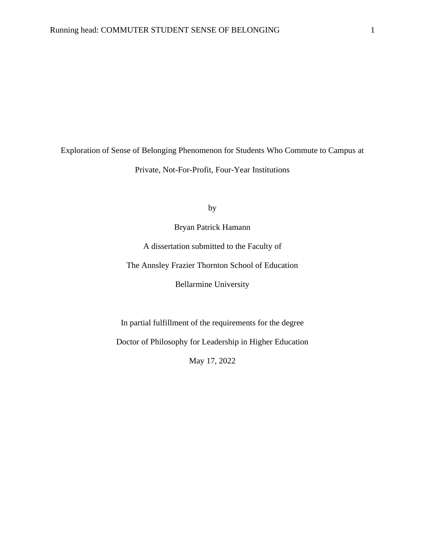Exploration of Sense of Belonging Phenomenon for Students Who Commute to Campus at Private, Not-For-Profit, Four-Year Institutions

by

Bryan Patrick Hamann

A dissertation submitted to the Faculty of

The Annsley Frazier Thornton School of Education

Bellarmine University

In partial fulfillment of the requirements for the degree

Doctor of Philosophy for Leadership in Higher Education

May 17, 2022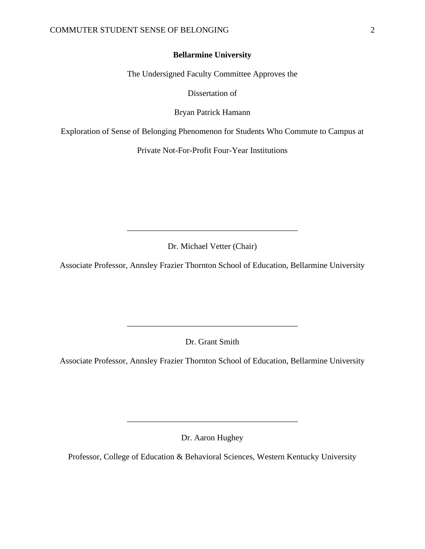#### **Bellarmine University**

The Undersigned Faculty Committee Approves the

Dissertation of

Bryan Patrick Hamann

Exploration of Sense of Belonging Phenomenon for Students Who Commute to Campus at

Private Not-For-Profit Four-Year Institutions

Dr. Michael Vetter (Chair)

\_\_\_\_\_\_\_\_\_\_\_\_\_\_\_\_\_\_\_\_\_\_\_\_\_\_\_\_\_\_\_\_\_\_\_\_\_\_\_\_\_

Associate Professor, Annsley Frazier Thornton School of Education, Bellarmine University

Dr. Grant Smith

\_\_\_\_\_\_\_\_\_\_\_\_\_\_\_\_\_\_\_\_\_\_\_\_\_\_\_\_\_\_\_\_\_\_\_\_\_\_\_\_\_

Associate Professor, Annsley Frazier Thornton School of Education, Bellarmine University

Dr. Aaron Hughey

\_\_\_\_\_\_\_\_\_\_\_\_\_\_\_\_\_\_\_\_\_\_\_\_\_\_\_\_\_\_\_\_\_\_\_\_\_\_\_\_\_

Professor, College of Education & Behavioral Sciences, Western Kentucky University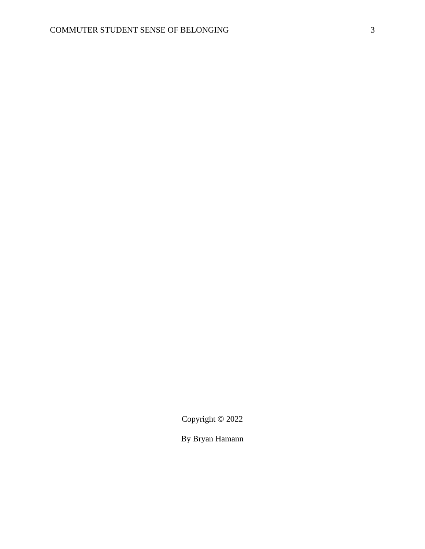Copyright © 2022

By Bryan Hamann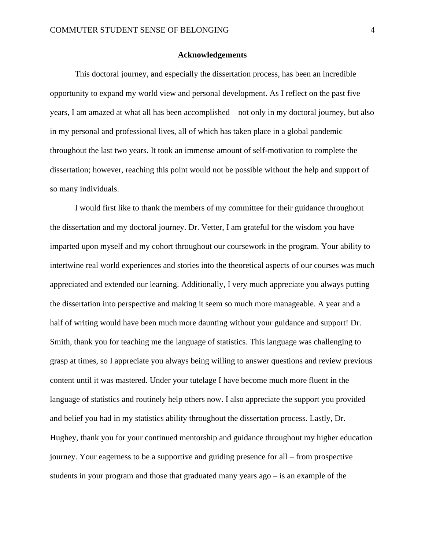#### **Acknowledgements**

This doctoral journey, and especially the dissertation process, has been an incredible opportunity to expand my world view and personal development. As I reflect on the past five years, I am amazed at what all has been accomplished – not only in my doctoral journey, but also in my personal and professional lives, all of which has taken place in a global pandemic throughout the last two years. It took an immense amount of self-motivation to complete the dissertation; however, reaching this point would not be possible without the help and support of so many individuals.

I would first like to thank the members of my committee for their guidance throughout the dissertation and my doctoral journey. Dr. Vetter, I am grateful for the wisdom you have imparted upon myself and my cohort throughout our coursework in the program. Your ability to intertwine real world experiences and stories into the theoretical aspects of our courses was much appreciated and extended our learning. Additionally, I very much appreciate you always putting the dissertation into perspective and making it seem so much more manageable. A year and a half of writing would have been much more daunting without your guidance and support! Dr. Smith, thank you for teaching me the language of statistics. This language was challenging to grasp at times, so I appreciate you always being willing to answer questions and review previous content until it was mastered. Under your tutelage I have become much more fluent in the language of statistics and routinely help others now. I also appreciate the support you provided and belief you had in my statistics ability throughout the dissertation process. Lastly, Dr. Hughey, thank you for your continued mentorship and guidance throughout my higher education journey. Your eagerness to be a supportive and guiding presence for all – from prospective students in your program and those that graduated many years ago – is an example of the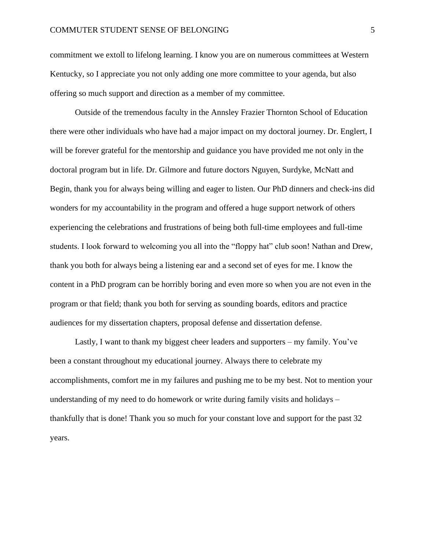#### COMMUTER STUDENT SENSE OF BELONGING 5

commitment we extoll to lifelong learning. I know you are on numerous committees at Western Kentucky, so I appreciate you not only adding one more committee to your agenda, but also offering so much support and direction as a member of my committee.

Outside of the tremendous faculty in the Annsley Frazier Thornton School of Education there were other individuals who have had a major impact on my doctoral journey. Dr. Englert, I will be forever grateful for the mentorship and guidance you have provided me not only in the doctoral program but in life. Dr. Gilmore and future doctors Nguyen, Surdyke, McNatt and Begin, thank you for always being willing and eager to listen. Our PhD dinners and check-ins did wonders for my accountability in the program and offered a huge support network of others experiencing the celebrations and frustrations of being both full-time employees and full-time students. I look forward to welcoming you all into the "floppy hat" club soon! Nathan and Drew, thank you both for always being a listening ear and a second set of eyes for me. I know the content in a PhD program can be horribly boring and even more so when you are not even in the program or that field; thank you both for serving as sounding boards, editors and practice audiences for my dissertation chapters, proposal defense and dissertation defense.

Lastly, I want to thank my biggest cheer leaders and supporters – my family. You've been a constant throughout my educational journey. Always there to celebrate my accomplishments, comfort me in my failures and pushing me to be my best. Not to mention your understanding of my need to do homework or write during family visits and holidays – thankfully that is done! Thank you so much for your constant love and support for the past 32 years.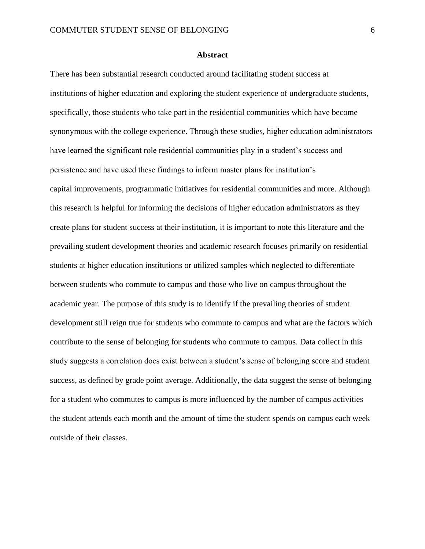#### **Abstract**

There has been substantial research conducted around facilitating student success at institutions of higher education and exploring the student experience of undergraduate students, specifically, those students who take part in the residential communities which have become synonymous with the college experience. Through these studies, higher education administrators have learned the significant role residential communities play in a student's success and persistence and have used these findings to inform master plans for institution's capital improvements, programmatic initiatives for residential communities and more. Although this research is helpful for informing the decisions of higher education administrators as they create plans for student success at their institution, it is important to note this literature and the prevailing student development theories and academic research focuses primarily on residential students at higher education institutions or utilized samples which neglected to differentiate between students who commute to campus and those who live on campus throughout the academic year. The purpose of this study is to identify if the prevailing theories of student development still reign true for students who commute to campus and what are the factors which contribute to the sense of belonging for students who commute to campus. Data collect in this study suggests a correlation does exist between a student's sense of belonging score and student success, as defined by grade point average. Additionally, the data suggest the sense of belonging for a student who commutes to campus is more influenced by the number of campus activities the student attends each month and the amount of time the student spends on campus each week outside of their classes.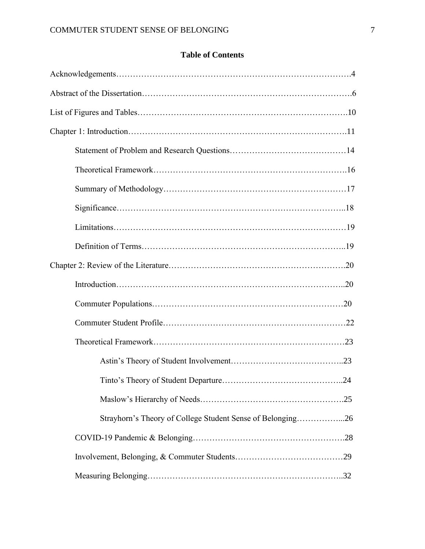### **Table of Contents**

| Strayhorn's Theory of College Student Sense of Belonging26 |
|------------------------------------------------------------|
|                                                            |
|                                                            |
|                                                            |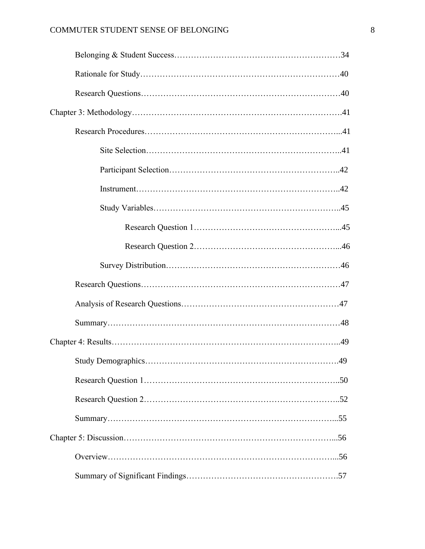### COMMUTER STUDENT SENSE OF BELONGING 8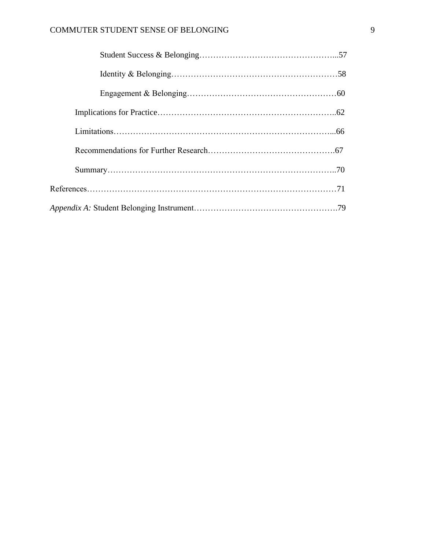### COMMUTER STUDENT SENSE OF BELONGING 9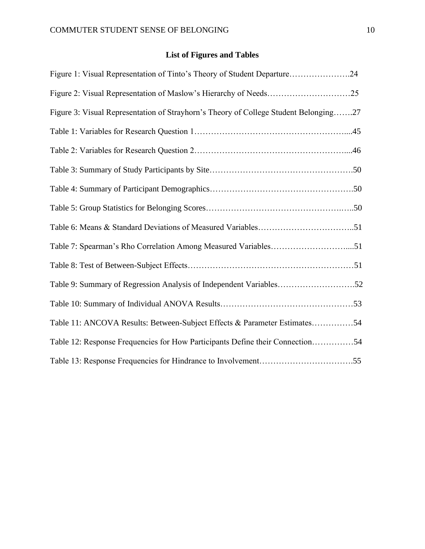## **List of Figures and Tables**

| Figure 1: Visual Representation of Tinto's Theory of Student Departure24             |
|--------------------------------------------------------------------------------------|
|                                                                                      |
| Figure 3: Visual Representation of Strayhorn's Theory of College Student Belonging27 |
|                                                                                      |
|                                                                                      |
|                                                                                      |
|                                                                                      |
|                                                                                      |
|                                                                                      |
| Table 7: Spearman's Rho Correlation Among Measured Variables51                       |
|                                                                                      |
| Table 9: Summary of Regression Analysis of Independent Variables52                   |
|                                                                                      |
| Table 11: ANCOVA Results: Between-Subject Effects & Parameter Estimates54            |
| Table 12: Response Frequencies for How Participants Define their Connection54        |
|                                                                                      |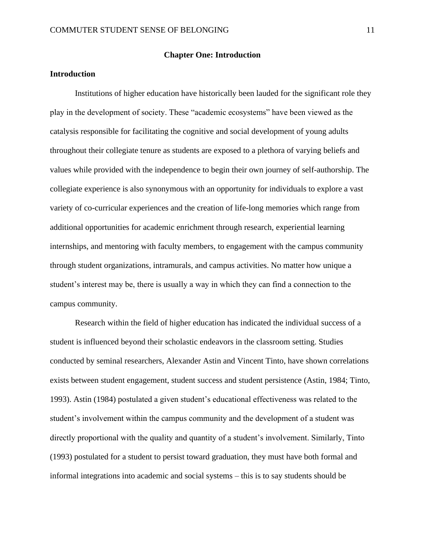#### **Introduction**

Institutions of higher education have historically been lauded for the significant role they play in the development of society. These "academic ecosystems" have been viewed as the catalysis responsible for facilitating the cognitive and social development of young adults throughout their collegiate tenure as students are exposed to a plethora of varying beliefs and values while provided with the independence to begin their own journey of self-authorship. The collegiate experience is also synonymous with an opportunity for individuals to explore a vast variety of co-curricular experiences and the creation of life-long memories which range from additional opportunities for academic enrichment through research, experiential learning internships, and mentoring with faculty members, to engagement with the campus community through student organizations, intramurals, and campus activities. No matter how unique a student's interest may be, there is usually a way in which they can find a connection to the campus community.

Research within the field of higher education has indicated the individual success of a student is influenced beyond their scholastic endeavors in the classroom setting. Studies conducted by seminal researchers, Alexander Astin and Vincent Tinto, have shown correlations exists between student engagement, student success and student persistence (Astin, 1984; Tinto, 1993). Astin (1984) postulated a given student's educational effectiveness was related to the student's involvement within the campus community and the development of a student was directly proportional with the quality and quantity of a student's involvement. Similarly, Tinto (1993) postulated for a student to persist toward graduation, they must have both formal and informal integrations into academic and social systems – this is to say students should be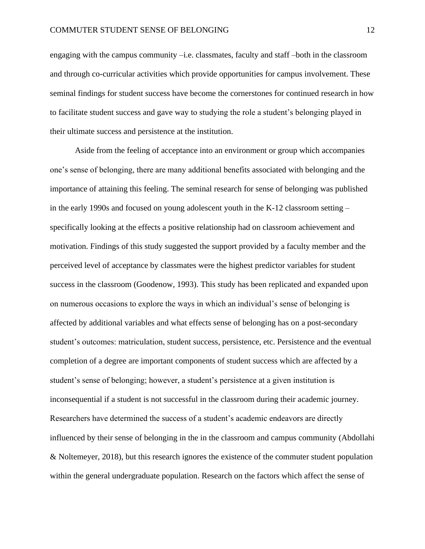engaging with the campus community –i.e. classmates, faculty and staff –both in the classroom and through co-curricular activities which provide opportunities for campus involvement. These seminal findings for student success have become the cornerstones for continued research in how to facilitate student success and gave way to studying the role a student's belonging played in their ultimate success and persistence at the institution.

Aside from the feeling of acceptance into an environment or group which accompanies one's sense of belonging, there are many additional benefits associated with belonging and the importance of attaining this feeling. The seminal research for sense of belonging was published in the early 1990s and focused on young adolescent youth in the K-12 classroom setting – specifically looking at the effects a positive relationship had on classroom achievement and motivation. Findings of this study suggested the support provided by a faculty member and the perceived level of acceptance by classmates were the highest predictor variables for student success in the classroom (Goodenow, 1993). This study has been replicated and expanded upon on numerous occasions to explore the ways in which an individual's sense of belonging is affected by additional variables and what effects sense of belonging has on a post-secondary student's outcomes: matriculation, student success, persistence, etc. Persistence and the eventual completion of a degree are important components of student success which are affected by a student's sense of belonging; however, a student's persistence at a given institution is inconsequential if a student is not successful in the classroom during their academic journey. Researchers have determined the success of a student's academic endeavors are directly influenced by their sense of belonging in the in the classroom and campus community (Abdollahi & Noltemeyer, 2018), but this research ignores the existence of the commuter student population within the general undergraduate population. Research on the factors which affect the sense of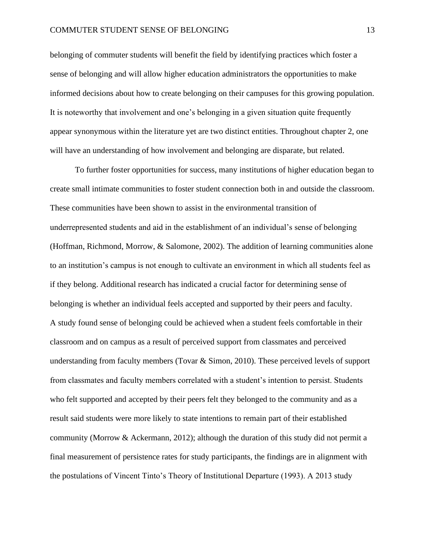belonging of commuter students will benefit the field by identifying practices which foster a sense of belonging and will allow higher education administrators the opportunities to make informed decisions about how to create belonging on their campuses for this growing population. It is noteworthy that involvement and one's belonging in a given situation quite frequently appear synonymous within the literature yet are two distinct entities. Throughout chapter 2, one will have an understanding of how involvement and belonging are disparate, but related.

To further foster opportunities for success, many institutions of higher education began to create small intimate communities to foster student connection both in and outside the classroom. These communities have been shown to assist in the environmental transition of underrepresented students and aid in the establishment of an individual's sense of belonging (Hoffman, Richmond, Morrow, & Salomone, 2002). The addition of learning communities alone to an institution's campus is not enough to cultivate an environment in which all students feel as if they belong. Additional research has indicated a crucial factor for determining sense of belonging is whether an individual feels accepted and supported by their peers and faculty. A study found sense of belonging could be achieved when a student feels comfortable in their classroom and on campus as a result of perceived support from classmates and perceived understanding from faculty members (Tovar & Simon, 2010). These perceived levels of support from classmates and faculty members correlated with a student's intention to persist. Students who felt supported and accepted by their peers felt they belonged to the community and as a result said students were more likely to state intentions to remain part of their established community (Morrow & Ackermann, 2012); although the duration of this study did not permit a final measurement of persistence rates for study participants, the findings are in alignment with the postulations of Vincent Tinto's Theory of Institutional Departure (1993). A 2013 study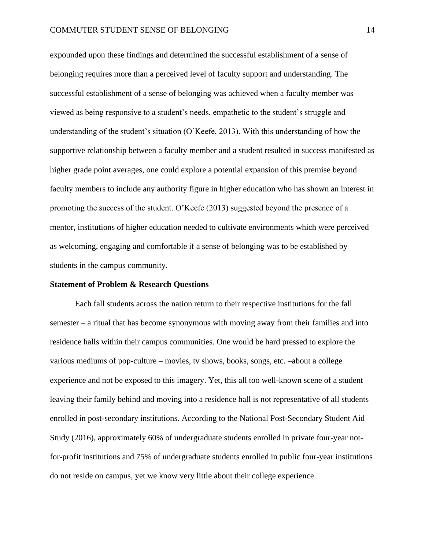expounded upon these findings and determined the successful establishment of a sense of belonging requires more than a perceived level of faculty support and understanding. The successful establishment of a sense of belonging was achieved when a faculty member was viewed as being responsive to a student's needs, empathetic to the student's struggle and understanding of the student's situation (O'Keefe, 2013). With this understanding of how the supportive relationship between a faculty member and a student resulted in success manifested as higher grade point averages, one could explore a potential expansion of this premise beyond faculty members to include any authority figure in higher education who has shown an interest in promoting the success of the student. O'Keefe (2013) suggested beyond the presence of a mentor, institutions of higher education needed to cultivate environments which were perceived as welcoming, engaging and comfortable if a sense of belonging was to be established by students in the campus community.

#### **Statement of Problem & Research Questions**

Each fall students across the nation return to their respective institutions for the fall semester – a ritual that has become synonymous with moving away from their families and into residence halls within their campus communities. One would be hard pressed to explore the various mediums of pop-culture – movies, tv shows, books, songs, etc. –about a college experience and not be exposed to this imagery. Yet, this all too well-known scene of a student leaving their family behind and moving into a residence hall is not representative of all students enrolled in post-secondary institutions. According to the National Post-Secondary Student Aid Study (2016), approximately 60% of undergraduate students enrolled in private four-year notfor-profit institutions and 75% of undergraduate students enrolled in public four-year institutions do not reside on campus, yet we know very little about their college experience.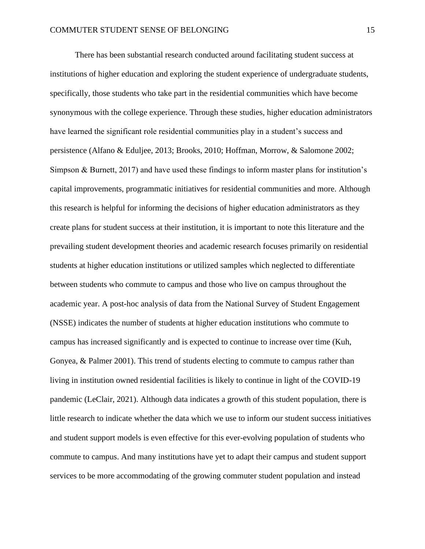There has been substantial research conducted around facilitating student success at institutions of higher education and exploring the student experience of undergraduate students, specifically, those students who take part in the residential communities which have become synonymous with the college experience. Through these studies, higher education administrators have learned the significant role residential communities play in a student's success and persistence (Alfano & Eduljee, 2013; Brooks, 2010; Hoffman, Morrow, & Salomone 2002; Simpson & Burnett, 2017) and have used these findings to inform master plans for institution's capital improvements, programmatic initiatives for residential communities and more. Although this research is helpful for informing the decisions of higher education administrators as they create plans for student success at their institution, it is important to note this literature and the prevailing student development theories and academic research focuses primarily on residential students at higher education institutions or utilized samples which neglected to differentiate between students who commute to campus and those who live on campus throughout the academic year. A post-hoc analysis of data from the National Survey of Student Engagement (NSSE) indicates the number of students at higher education institutions who commute to campus has increased significantly and is expected to continue to increase over time (Kuh, Gonyea, & Palmer 2001). This trend of students electing to commute to campus rather than living in institution owned residential facilities is likely to continue in light of the COVID-19 pandemic (LeClair, 2021). Although data indicates a growth of this student population, there is little research to indicate whether the data which we use to inform our student success initiatives and student support models is even effective for this ever-evolving population of students who commute to campus. And many institutions have yet to adapt their campus and student support services to be more accommodating of the growing commuter student population and instead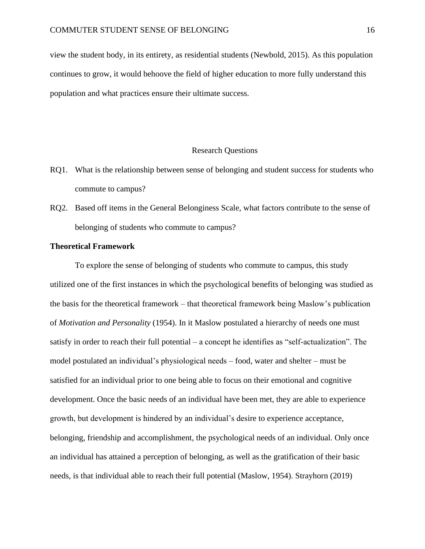view the student body, in its entirety, as residential students (Newbold, 2015). As this population continues to grow, it would behoove the field of higher education to more fully understand this population and what practices ensure their ultimate success.

#### Research Questions

- RQ1. What is the relationship between sense of belonging and student success for students who commute to campus?
- RQ2. Based off items in the General Belonginess Scale, what factors contribute to the sense of belonging of students who commute to campus?

#### **Theoretical Framework**

To explore the sense of belonging of students who commute to campus, this study utilized one of the first instances in which the psychological benefits of belonging was studied as the basis for the theoretical framework – that theoretical framework being Maslow's publication of *Motivation and Personality* (1954). In it Maslow postulated a hierarchy of needs one must satisfy in order to reach their full potential – a concept he identifies as "self-actualization". The model postulated an individual's physiological needs – food, water and shelter – must be satisfied for an individual prior to one being able to focus on their emotional and cognitive development. Once the basic needs of an individual have been met, they are able to experience growth, but development is hindered by an individual's desire to experience acceptance, belonging, friendship and accomplishment, the psychological needs of an individual. Only once an individual has attained a perception of belonging, as well as the gratification of their basic needs, is that individual able to reach their full potential (Maslow, 1954). Strayhorn (2019)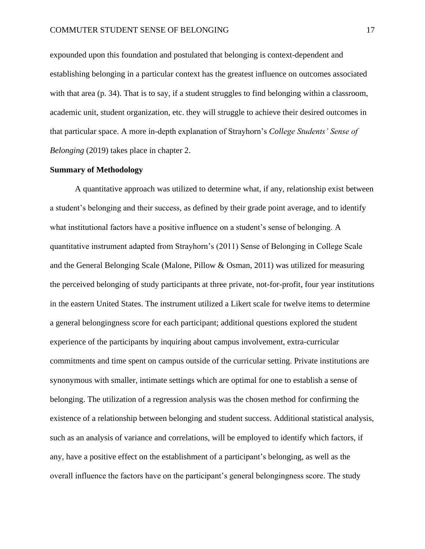expounded upon this foundation and postulated that belonging is context-dependent and establishing belonging in a particular context has the greatest influence on outcomes associated with that area (p. 34). That is to say, if a student struggles to find belonging within a classroom, academic unit, student organization, etc. they will struggle to achieve their desired outcomes in that particular space. A more in-depth explanation of Strayhorn's *College Students' Sense of Belonging* (2019) takes place in chapter 2.

#### **Summary of Methodology**

A quantitative approach was utilized to determine what, if any, relationship exist between a student's belonging and their success, as defined by their grade point average, and to identify what institutional factors have a positive influence on a student's sense of belonging. A quantitative instrument adapted from Strayhorn's (2011) Sense of Belonging in College Scale and the General Belonging Scale (Malone, Pillow & Osman, 2011) was utilized for measuring the perceived belonging of study participants at three private, not-for-profit, four year institutions in the eastern United States. The instrument utilized a Likert scale for twelve items to determine a general belongingness score for each participant; additional questions explored the student experience of the participants by inquiring about campus involvement, extra-curricular commitments and time spent on campus outside of the curricular setting. Private institutions are synonymous with smaller, intimate settings which are optimal for one to establish a sense of belonging. The utilization of a regression analysis was the chosen method for confirming the existence of a relationship between belonging and student success. Additional statistical analysis, such as an analysis of variance and correlations, will be employed to identify which factors, if any, have a positive effect on the establishment of a participant's belonging, as well as the overall influence the factors have on the participant's general belongingness score. The study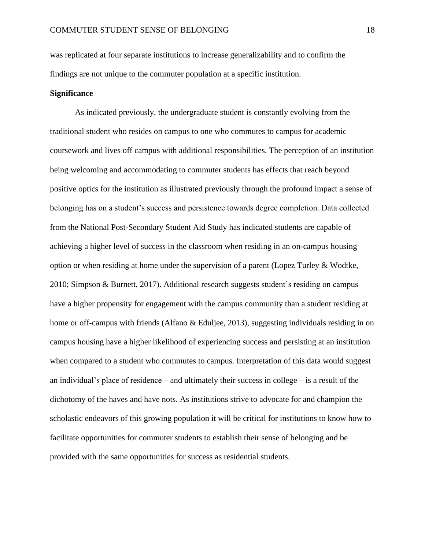was replicated at four separate institutions to increase generalizability and to confirm the findings are not unique to the commuter population at a specific institution.

#### **Significance**

As indicated previously, the undergraduate student is constantly evolving from the traditional student who resides on campus to one who commutes to campus for academic coursework and lives off campus with additional responsibilities. The perception of an institution being welcoming and accommodating to commuter students has effects that reach beyond positive optics for the institution as illustrated previously through the profound impact a sense of belonging has on a student's success and persistence towards degree completion. Data collected from the National Post-Secondary Student Aid Study has indicated students are capable of achieving a higher level of success in the classroom when residing in an on-campus housing option or when residing at home under the supervision of a parent (Lopez Turley & Wodtke, 2010; Simpson & Burnett, 2017). Additional research suggests student's residing on campus have a higher propensity for engagement with the campus community than a student residing at home or off-campus with friends (Alfano & Eduljee, 2013), suggesting individuals residing in on campus housing have a higher likelihood of experiencing success and persisting at an institution when compared to a student who commutes to campus. Interpretation of this data would suggest an individual's place of residence – and ultimately their success in college – is a result of the dichotomy of the haves and have nots. As institutions strive to advocate for and champion the scholastic endeavors of this growing population it will be critical for institutions to know how to facilitate opportunities for commuter students to establish their sense of belonging and be provided with the same opportunities for success as residential students.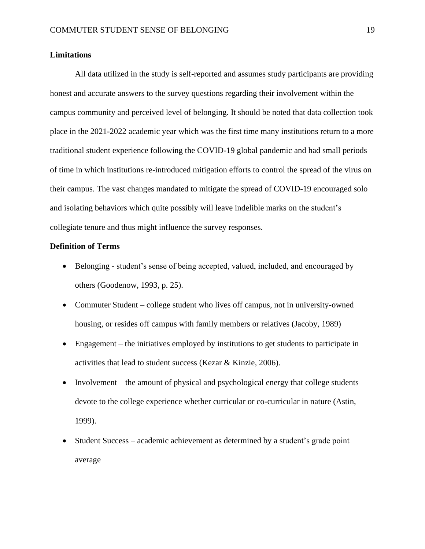#### **Limitations**

All data utilized in the study is self-reported and assumes study participants are providing honest and accurate answers to the survey questions regarding their involvement within the campus community and perceived level of belonging. It should be noted that data collection took place in the 2021-2022 academic year which was the first time many institutions return to a more traditional student experience following the COVID-19 global pandemic and had small periods of time in which institutions re-introduced mitigation efforts to control the spread of the virus on their campus. The vast changes mandated to mitigate the spread of COVID-19 encouraged solo and isolating behaviors which quite possibly will leave indelible marks on the student's collegiate tenure and thus might influence the survey responses.

#### **Definition of Terms**

- Belonging student's sense of being accepted, valued, included, and encouraged by others (Goodenow, 1993, p. 25).
- Commuter Student college student who lives off campus, not in university-owned housing, or resides off campus with family members or relatives (Jacoby, 1989)
- Engagement the initiatives employed by institutions to get students to participate in activities that lead to student success (Kezar & Kinzie, 2006).
- Involvement the amount of physical and psychological energy that college students devote to the college experience whether curricular or co-curricular in nature (Astin, 1999).
- Student Success academic achievement as determined by a student's grade point average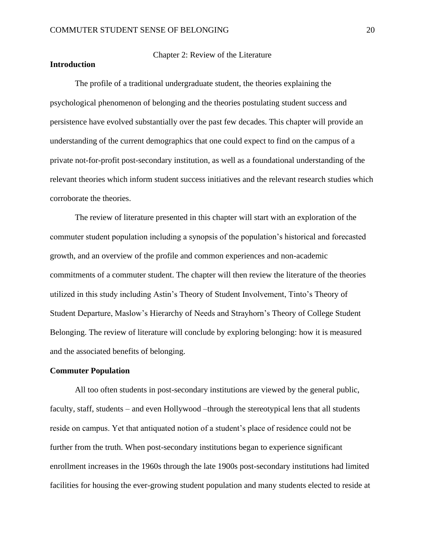#### **Introduction**

#### Chapter 2: Review of the Literature

The profile of a traditional undergraduate student, the theories explaining the psychological phenomenon of belonging and the theories postulating student success and persistence have evolved substantially over the past few decades. This chapter will provide an understanding of the current demographics that one could expect to find on the campus of a private not-for-profit post-secondary institution, as well as a foundational understanding of the relevant theories which inform student success initiatives and the relevant research studies which corroborate the theories.

The review of literature presented in this chapter will start with an exploration of the commuter student population including a synopsis of the population's historical and forecasted growth, and an overview of the profile and common experiences and non-academic commitments of a commuter student. The chapter will then review the literature of the theories utilized in this study including Astin's Theory of Student Involvement, Tinto's Theory of Student Departure, Maslow's Hierarchy of Needs and Strayhorn's Theory of College Student Belonging. The review of literature will conclude by exploring belonging: how it is measured and the associated benefits of belonging.

#### **Commuter Population**

All too often students in post-secondary institutions are viewed by the general public, faculty, staff, students – and even Hollywood –through the stereotypical lens that all students reside on campus. Yet that antiquated notion of a student's place of residence could not be further from the truth. When post-secondary institutions began to experience significant enrollment increases in the 1960s through the late 1900s post-secondary institutions had limited facilities for housing the ever-growing student population and many students elected to reside at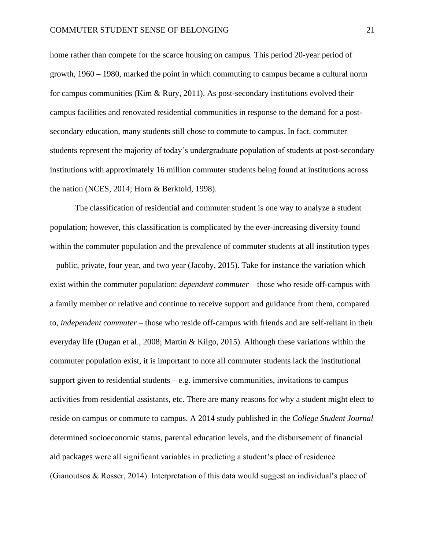home rather than compete for the scarce housing on campus. This period 20-year period of growth, 1960 – 1980, marked the point in which commuting to campus became a cultural norm for campus communities (Kim  $\&$  Rury, 2011). As post-secondary institutions evolved their campus facilities and renovated residential communities in response to the demand for a postsecondary education, many students still chose to commute to campus. In fact, commuter students represent the majority of today's undergraduate population of students at post-secondary institutions with approximately 16 million commuter students being found at institutions across the nation (NCES, 2014; Horn & Berktold, 1998).

The classification of residential and commuter student is one way to analyze a student population; however, this classification is complicated by the ever-increasing diversity found within the commuter population and the prevalence of commuter students at all institution types – public, private, four year, and two year (Jacoby, 2015). Take for instance the variation which exist within the commuter population: *dependent commuter* – those who reside off-campus with a family member or relative and continue to receive support and guidance from them, compared to, *independent commuter* – those who reside off-campus with friends and are self-reliant in their everyday life (Dugan et al., 2008; Martin & Kilgo, 2015). Although these variations within the commuter population exist, it is important to note all commuter students lack the institutional support given to residential students  $-e.g.$  immersive communities, invitations to campus activities from residential assistants, etc. There are many reasons for why a student might elect to reside on campus or commute to campus. A 2014 study published in the *College Student Journal* determined socioeconomic status, parental education levels, and the disbursement of financial aid packages were all significant variables in predicting a student's place of residence (Gianoutsos & Rosser, 2014). Interpretation of this data would suggest an individual's place of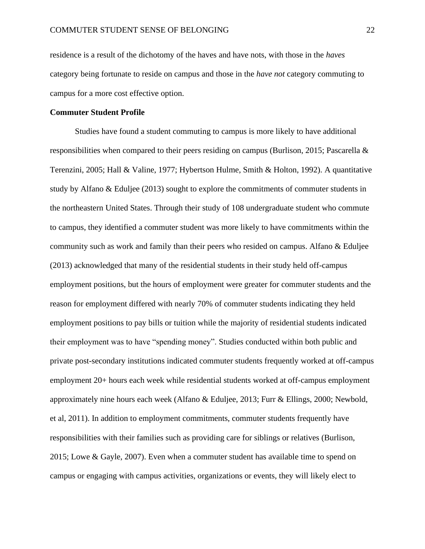residence is a result of the dichotomy of the haves and have nots, with those in the *haves* category being fortunate to reside on campus and those in the *have not* category commuting to campus for a more cost effective option.

#### **Commuter Student Profile**

Studies have found a student commuting to campus is more likely to have additional responsibilities when compared to their peers residing on campus (Burlison, 2015; Pascarella & Terenzini, 2005; Hall & Valine, 1977; Hybertson Hulme, Smith & Holton, 1992). A quantitative study by Alfano & Eduljee (2013) sought to explore the commitments of commuter students in the northeastern United States. Through their study of 108 undergraduate student who commute to campus, they identified a commuter student was more likely to have commitments within the community such as work and family than their peers who resided on campus. Alfano & Eduljee (2013) acknowledged that many of the residential students in their study held off-campus employment positions, but the hours of employment were greater for commuter students and the reason for employment differed with nearly 70% of commuter students indicating they held employment positions to pay bills or tuition while the majority of residential students indicated their employment was to have "spending money". Studies conducted within both public and private post-secondary institutions indicated commuter students frequently worked at off-campus employment 20+ hours each week while residential students worked at off-campus employment approximately nine hours each week (Alfano & Eduljee, 2013; Furr & Ellings, 2000; Newbold, et al, 2011). In addition to employment commitments, commuter students frequently have responsibilities with their families such as providing care for siblings or relatives (Burlison, 2015; Lowe & Gayle, 2007). Even when a commuter student has available time to spend on campus or engaging with campus activities, organizations or events, they will likely elect to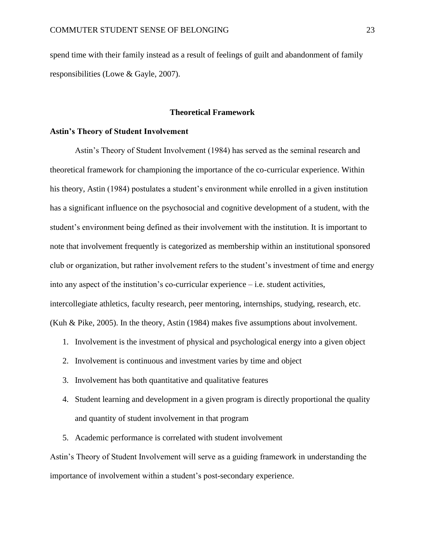spend time with their family instead as a result of feelings of guilt and abandonment of family responsibilities (Lowe & Gayle, 2007).

#### **Theoretical Framework**

#### **Astin's Theory of Student Involvement**

Astin's Theory of Student Involvement (1984) has served as the seminal research and theoretical framework for championing the importance of the co-curricular experience. Within his theory, Astin (1984) postulates a student's environment while enrolled in a given institution has a significant influence on the psychosocial and cognitive development of a student, with the student's environment being defined as their involvement with the institution. It is important to note that involvement frequently is categorized as membership within an institutional sponsored club or organization, but rather involvement refers to the student's investment of time and energy into any aspect of the institution's co-curricular experience – i.e. student activities, intercollegiate athletics, faculty research, peer mentoring, internships, studying, research, etc. (Kuh & Pike, 2005). In the theory, Astin (1984) makes five assumptions about involvement.

- 1. Involvement is the investment of physical and psychological energy into a given object
- 2. Involvement is continuous and investment varies by time and object
- 3. Involvement has both quantitative and qualitative features
- 4. Student learning and development in a given program is directly proportional the quality and quantity of student involvement in that program
- 5. Academic performance is correlated with student involvement

Astin's Theory of Student Involvement will serve as a guiding framework in understanding the importance of involvement within a student's post-secondary experience.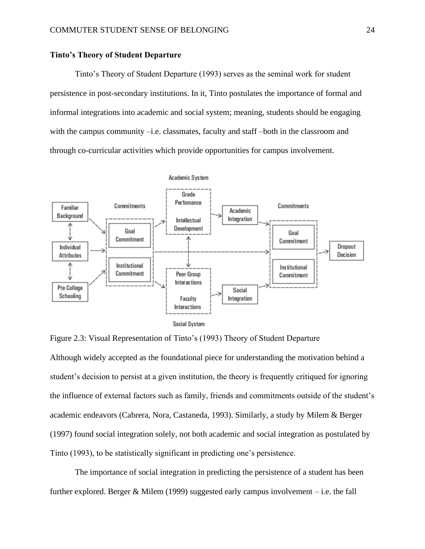#### **Tinto's Theory of Student Departure**

Tinto's Theory of Student Departure (1993) serves as the seminal work for student persistence in post-secondary institutions. In it, Tinto postulates the importance of formal and informal integrations into academic and social system; meaning, students should be engaging with the campus community –i.e. classmates, faculty and staff –both in the classroom and through co-curricular activities which provide opportunities for campus involvement.



Figure 2.3: Visual Representation of Tinto's (1993) Theory of Student Departure Although widely accepted as the foundational piece for understanding the motivation behind a student's decision to persist at a given institution, the theory is frequently critiqued for ignoring the influence of external factors such as family, friends and commitments outside of the student's academic endeavors (Cabrera, Nora, Castaneda, 1993). Similarly, a study by Milem & Berger (1997) found social integration solely, not both academic and social integration as postulated by Tinto (1993), to be statistically significant in predicting one's persistence.

The importance of social integration in predicting the persistence of a student has been further explored. Berger & Milem (1999) suggested early campus involvement – i.e. the fall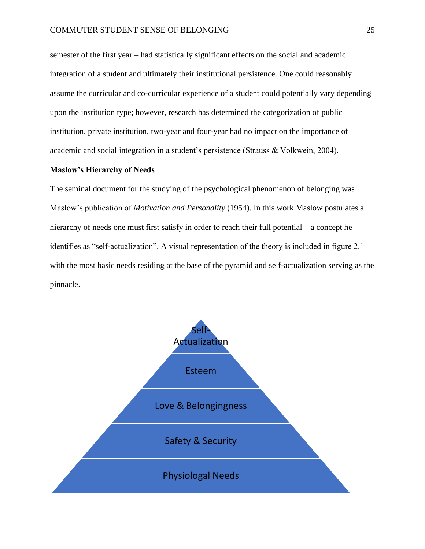semester of the first year – had statistically significant effects on the social and academic integration of a student and ultimately their institutional persistence. One could reasonably assume the curricular and co-curricular experience of a student could potentially vary depending upon the institution type; however, research has determined the categorization of public institution, private institution, two-year and four-year had no impact on the importance of academic and social integration in a student's persistence (Strauss & Volkwein, 2004).

#### **Maslow's Hierarchy of Needs**

The seminal document for the studying of the psychological phenomenon of belonging was Maslow's publication of *Motivation and Personality* (1954). In this work Maslow postulates a hierarchy of needs one must first satisfy in order to reach their full potential – a concept he identifies as "self-actualization". A visual representation of the theory is included in figure 2.1 with the most basic needs residing at the base of the pyramid and self-actualization serving as the pinnacle.

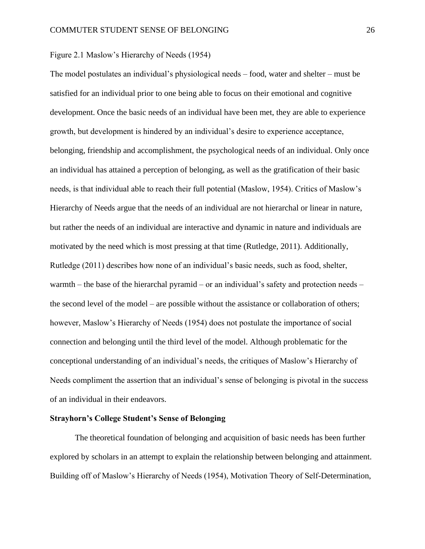Figure 2.1 Maslow's Hierarchy of Needs (1954)

The model postulates an individual's physiological needs – food, water and shelter – must be satisfied for an individual prior to one being able to focus on their emotional and cognitive development. Once the basic needs of an individual have been met, they are able to experience growth, but development is hindered by an individual's desire to experience acceptance, belonging, friendship and accomplishment, the psychological needs of an individual. Only once an individual has attained a perception of belonging, as well as the gratification of their basic needs, is that individual able to reach their full potential (Maslow, 1954). Critics of Maslow's Hierarchy of Needs argue that the needs of an individual are not hierarchal or linear in nature, but rather the needs of an individual are interactive and dynamic in nature and individuals are motivated by the need which is most pressing at that time (Rutledge, 2011). Additionally, Rutledge (2011) describes how none of an individual's basic needs, such as food, shelter, warmth – the base of the hierarchal pyramid – or an individual's safety and protection needs – the second level of the model – are possible without the assistance or collaboration of others; however, Maslow's Hierarchy of Needs (1954) does not postulate the importance of social connection and belonging until the third level of the model. Although problematic for the conceptional understanding of an individual's needs, the critiques of Maslow's Hierarchy of Needs compliment the assertion that an individual's sense of belonging is pivotal in the success of an individual in their endeavors.

#### **Strayhorn's College Student's Sense of Belonging**

The theoretical foundation of belonging and acquisition of basic needs has been further explored by scholars in an attempt to explain the relationship between belonging and attainment. Building off of Maslow's Hierarchy of Needs (1954), Motivation Theory of Self-Determination,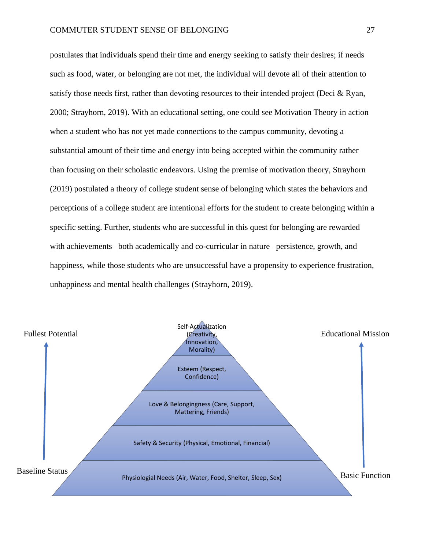postulates that individuals spend their time and energy seeking to satisfy their desires; if needs such as food, water, or belonging are not met, the individual will devote all of their attention to satisfy those needs first, rather than devoting resources to their intended project (Deci  $\&$  Ryan, 2000; Strayhorn, 2019). With an educational setting, one could see Motivation Theory in action when a student who has not yet made connections to the campus community, devoting a substantial amount of their time and energy into being accepted within the community rather than focusing on their scholastic endeavors. Using the premise of motivation theory, Strayhorn (2019) postulated a theory of college student sense of belonging which states the behaviors and perceptions of a college student are intentional efforts for the student to create belonging within a specific setting. Further, students who are successful in this quest for belonging are rewarded with achievements –both academically and co-curricular in nature –persistence, growth, and happiness, while those students who are unsuccessful have a propensity to experience frustration, unhappiness and mental health challenges (Strayhorn, 2019).

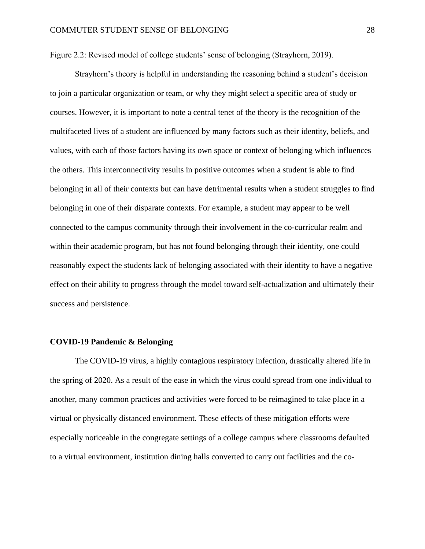Figure 2.2: Revised model of college students' sense of belonging (Strayhorn, 2019).

Strayhorn's theory is helpful in understanding the reasoning behind a student's decision to join a particular organization or team, or why they might select a specific area of study or courses. However, it is important to note a central tenet of the theory is the recognition of the multifaceted lives of a student are influenced by many factors such as their identity, beliefs, and values, with each of those factors having its own space or context of belonging which influences the others. This interconnectivity results in positive outcomes when a student is able to find belonging in all of their contexts but can have detrimental results when a student struggles to find belonging in one of their disparate contexts. For example, a student may appear to be well connected to the campus community through their involvement in the co-curricular realm and within their academic program, but has not found belonging through their identity, one could reasonably expect the students lack of belonging associated with their identity to have a negative effect on their ability to progress through the model toward self-actualization and ultimately their success and persistence.

#### **COVID-19 Pandemic & Belonging**

The COVID-19 virus, a highly contagious respiratory infection, drastically altered life in the spring of 2020. As a result of the ease in which the virus could spread from one individual to another, many common practices and activities were forced to be reimagined to take place in a virtual or physically distanced environment. These effects of these mitigation efforts were especially noticeable in the congregate settings of a college campus where classrooms defaulted to a virtual environment, institution dining halls converted to carry out facilities and the co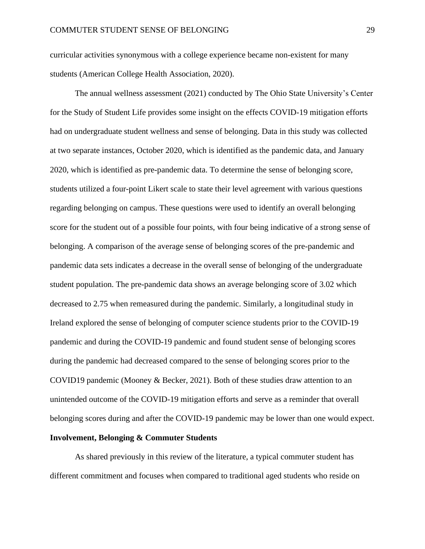curricular activities synonymous with a college experience became non-existent for many students (American College Health Association, 2020).

The annual wellness assessment (2021) conducted by The Ohio State University's Center for the Study of Student Life provides some insight on the effects COVID-19 mitigation efforts had on undergraduate student wellness and sense of belonging. Data in this study was collected at two separate instances, October 2020, which is identified as the pandemic data, and January 2020, which is identified as pre-pandemic data. To determine the sense of belonging score, students utilized a four-point Likert scale to state their level agreement with various questions regarding belonging on campus. These questions were used to identify an overall belonging score for the student out of a possible four points, with four being indicative of a strong sense of belonging. A comparison of the average sense of belonging scores of the pre-pandemic and pandemic data sets indicates a decrease in the overall sense of belonging of the undergraduate student population. The pre-pandemic data shows an average belonging score of 3.02 which decreased to 2.75 when remeasured during the pandemic. Similarly, a longitudinal study in Ireland explored the sense of belonging of computer science students prior to the COVID-19 pandemic and during the COVID-19 pandemic and found student sense of belonging scores during the pandemic had decreased compared to the sense of belonging scores prior to the COVID19 pandemic (Mooney & Becker, 2021). Both of these studies draw attention to an unintended outcome of the COVID-19 mitigation efforts and serve as a reminder that overall belonging scores during and after the COVID-19 pandemic may be lower than one would expect.

#### **Involvement, Belonging & Commuter Students**

As shared previously in this review of the literature, a typical commuter student has different commitment and focuses when compared to traditional aged students who reside on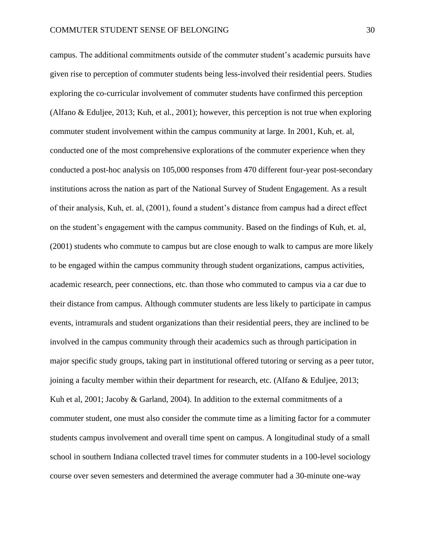campus. The additional commitments outside of the commuter student's academic pursuits have given rise to perception of commuter students being less-involved their residential peers. Studies exploring the co-curricular involvement of commuter students have confirmed this perception (Alfano & Eduljee, 2013; Kuh, et al., 2001); however, this perception is not true when exploring commuter student involvement within the campus community at large. In 2001, Kuh, et. al, conducted one of the most comprehensive explorations of the commuter experience when they conducted a post-hoc analysis on 105,000 responses from 470 different four-year post-secondary institutions across the nation as part of the National Survey of Student Engagement. As a result of their analysis, Kuh, et. al, (2001), found a student's distance from campus had a direct effect on the student's engagement with the campus community. Based on the findings of Kuh, et. al, (2001) students who commute to campus but are close enough to walk to campus are more likely to be engaged within the campus community through student organizations, campus activities, academic research, peer connections, etc. than those who commuted to campus via a car due to their distance from campus. Although commuter students are less likely to participate in campus events, intramurals and student organizations than their residential peers, they are inclined to be involved in the campus community through their academics such as through participation in major specific study groups, taking part in institutional offered tutoring or serving as a peer tutor, joining a faculty member within their department for research, etc. (Alfano & Eduljee, 2013; Kuh et al, 2001; Jacoby & Garland, 2004). In addition to the external commitments of a commuter student, one must also consider the commute time as a limiting factor for a commuter students campus involvement and overall time spent on campus. A longitudinal study of a small school in southern Indiana collected travel times for commuter students in a 100-level sociology course over seven semesters and determined the average commuter had a 30-minute one-way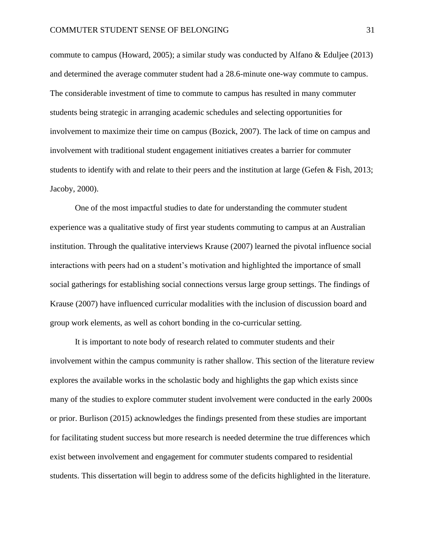commute to campus (Howard, 2005); a similar study was conducted by Alfano & Eduljee (2013) and determined the average commuter student had a 28.6-minute one-way commute to campus. The considerable investment of time to commute to campus has resulted in many commuter students being strategic in arranging academic schedules and selecting opportunities for involvement to maximize their time on campus (Bozick, 2007). The lack of time on campus and involvement with traditional student engagement initiatives creates a barrier for commuter students to identify with and relate to their peers and the institution at large (Gefen & Fish, 2013; Jacoby, 2000).

One of the most impactful studies to date for understanding the commuter student experience was a qualitative study of first year students commuting to campus at an Australian institution. Through the qualitative interviews Krause (2007) learned the pivotal influence social interactions with peers had on a student's motivation and highlighted the importance of small social gatherings for establishing social connections versus large group settings. The findings of Krause (2007) have influenced curricular modalities with the inclusion of discussion board and group work elements, as well as cohort bonding in the co-curricular setting.

It is important to note body of research related to commuter students and their involvement within the campus community is rather shallow. This section of the literature review explores the available works in the scholastic body and highlights the gap which exists since many of the studies to explore commuter student involvement were conducted in the early 2000s or prior. Burlison (2015) acknowledges the findings presented from these studies are important for facilitating student success but more research is needed determine the true differences which exist between involvement and engagement for commuter students compared to residential students. This dissertation will begin to address some of the deficits highlighted in the literature.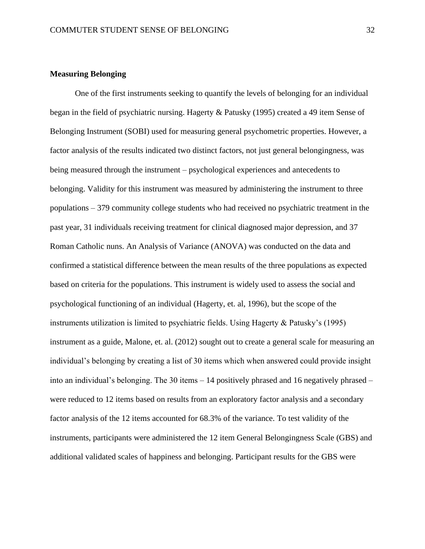#### **Measuring Belonging**

One of the first instruments seeking to quantify the levels of belonging for an individual began in the field of psychiatric nursing. Hagerty & Patusky (1995) created a 49 item Sense of Belonging Instrument (SOBI) used for measuring general psychometric properties. However, a factor analysis of the results indicated two distinct factors, not just general belongingness, was being measured through the instrument – psychological experiences and antecedents to belonging. Validity for this instrument was measured by administering the instrument to three populations – 379 community college students who had received no psychiatric treatment in the past year, 31 individuals receiving treatment for clinical diagnosed major depression, and 37 Roman Catholic nuns. An Analysis of Variance (ANOVA) was conducted on the data and confirmed a statistical difference between the mean results of the three populations as expected based on criteria for the populations. This instrument is widely used to assess the social and psychological functioning of an individual (Hagerty, et. al, 1996), but the scope of the instruments utilization is limited to psychiatric fields. Using Hagerty & Patusky's (1995) instrument as a guide, Malone, et. al. (2012) sought out to create a general scale for measuring an individual's belonging by creating a list of 30 items which when answered could provide insight into an individual's belonging. The 30 items  $-14$  positively phrased and 16 negatively phrased  $$ were reduced to 12 items based on results from an exploratory factor analysis and a secondary factor analysis of the 12 items accounted for 68.3% of the variance. To test validity of the instruments, participants were administered the 12 item General Belongingness Scale (GBS) and additional validated scales of happiness and belonging. Participant results for the GBS were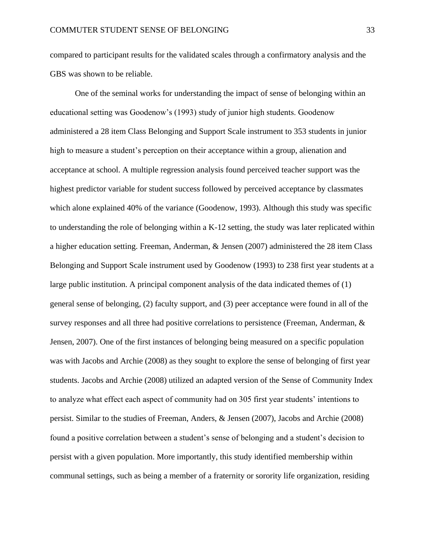compared to participant results for the validated scales through a confirmatory analysis and the GBS was shown to be reliable.

One of the seminal works for understanding the impact of sense of belonging within an educational setting was Goodenow's (1993) study of junior high students. Goodenow administered a 28 item Class Belonging and Support Scale instrument to 353 students in junior high to measure a student's perception on their acceptance within a group, alienation and acceptance at school. A multiple regression analysis found perceived teacher support was the highest predictor variable for student success followed by perceived acceptance by classmates which alone explained 40% of the variance (Goodenow, 1993). Although this study was specific to understanding the role of belonging within a K-12 setting, the study was later replicated within a higher education setting. Freeman, Anderman, & Jensen (2007) administered the 28 item Class Belonging and Support Scale instrument used by Goodenow (1993) to 238 first year students at a large public institution. A principal component analysis of the data indicated themes of (1) general sense of belonging, (2) faculty support, and (3) peer acceptance were found in all of the survey responses and all three had positive correlations to persistence (Freeman, Anderman, & Jensen, 2007). One of the first instances of belonging being measured on a specific population was with Jacobs and Archie (2008) as they sought to explore the sense of belonging of first year students. Jacobs and Archie (2008) utilized an adapted version of the Sense of Community Index to analyze what effect each aspect of community had on 305 first year students' intentions to persist. Similar to the studies of Freeman, Anders, & Jensen (2007), Jacobs and Archie (2008) found a positive correlation between a student's sense of belonging and a student's decision to persist with a given population. More importantly, this study identified membership within communal settings, such as being a member of a fraternity or sorority life organization, residing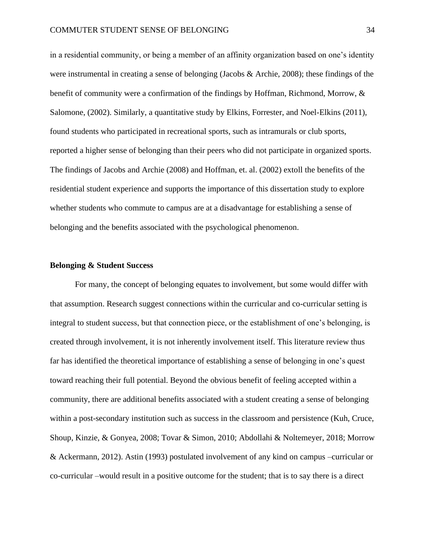in a residential community, or being a member of an affinity organization based on one's identity were instrumental in creating a sense of belonging (Jacobs & Archie, 2008); these findings of the benefit of community were a confirmation of the findings by Hoffman, Richmond, Morrow, & Salomone, (2002). Similarly, a quantitative study by Elkins, Forrester, and Noel-Elkins (2011), found students who participated in recreational sports, such as intramurals or club sports, reported a higher sense of belonging than their peers who did not participate in organized sports. The findings of Jacobs and Archie (2008) and Hoffman, et. al. (2002) extoll the benefits of the residential student experience and supports the importance of this dissertation study to explore whether students who commute to campus are at a disadvantage for establishing a sense of belonging and the benefits associated with the psychological phenomenon.

#### **Belonging & Student Success**

For many, the concept of belonging equates to involvement, but some would differ with that assumption. Research suggest connections within the curricular and co-curricular setting is integral to student success, but that connection piece, or the establishment of one's belonging, is created through involvement, it is not inherently involvement itself. This literature review thus far has identified the theoretical importance of establishing a sense of belonging in one's quest toward reaching their full potential. Beyond the obvious benefit of feeling accepted within a community, there are additional benefits associated with a student creating a sense of belonging within a post-secondary institution such as success in the classroom and persistence (Kuh, Cruce, Shoup, Kinzie, & Gonyea, 2008; Tovar & Simon, 2010; Abdollahi & Noltemeyer, 2018; Morrow & Ackermann, 2012). Astin (1993) postulated involvement of any kind on campus –curricular or co-curricular –would result in a positive outcome for the student; that is to say there is a direct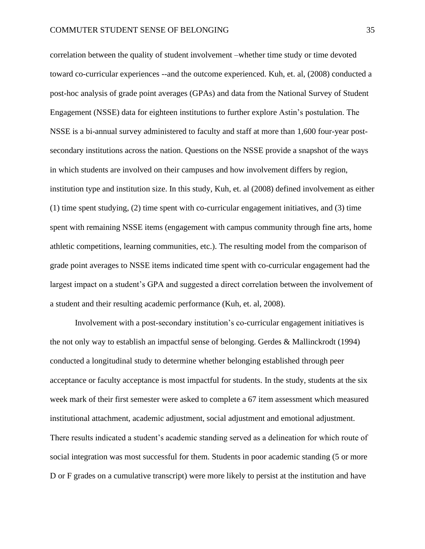correlation between the quality of student involvement –whether time study or time devoted toward co-curricular experiences --and the outcome experienced. Kuh, et. al, (2008) conducted a post-hoc analysis of grade point averages (GPAs) and data from the National Survey of Student Engagement (NSSE) data for eighteen institutions to further explore Astin's postulation. The NSSE is a bi-annual survey administered to faculty and staff at more than 1,600 four-year postsecondary institutions across the nation. Questions on the NSSE provide a snapshot of the ways in which students are involved on their campuses and how involvement differs by region, institution type and institution size. In this study, Kuh, et. al (2008) defined involvement as either (1) time spent studying, (2) time spent with co-curricular engagement initiatives, and (3) time spent with remaining NSSE items (engagement with campus community through fine arts, home athletic competitions, learning communities, etc.). The resulting model from the comparison of grade point averages to NSSE items indicated time spent with co-curricular engagement had the largest impact on a student's GPA and suggested a direct correlation between the involvement of a student and their resulting academic performance (Kuh, et. al, 2008).

Involvement with a post-secondary institution's co-curricular engagement initiatives is the not only way to establish an impactful sense of belonging. Gerdes & Mallinckrodt (1994) conducted a longitudinal study to determine whether belonging established through peer acceptance or faculty acceptance is most impactful for students. In the study, students at the six week mark of their first semester were asked to complete a 67 item assessment which measured institutional attachment, academic adjustment, social adjustment and emotional adjustment. There results indicated a student's academic standing served as a delineation for which route of social integration was most successful for them. Students in poor academic standing (5 or more D or F grades on a cumulative transcript) were more likely to persist at the institution and have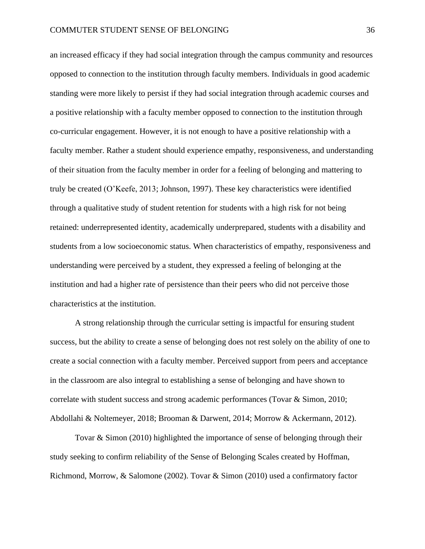an increased efficacy if they had social integration through the campus community and resources opposed to connection to the institution through faculty members. Individuals in good academic standing were more likely to persist if they had social integration through academic courses and a positive relationship with a faculty member opposed to connection to the institution through co-curricular engagement. However, it is not enough to have a positive relationship with a faculty member. Rather a student should experience empathy, responsiveness, and understanding of their situation from the faculty member in order for a feeling of belonging and mattering to truly be created (O'Keefe, 2013; Johnson, 1997). These key characteristics were identified through a qualitative study of student retention for students with a high risk for not being retained: underrepresented identity, academically underprepared, students with a disability and students from a low socioeconomic status. When characteristics of empathy, responsiveness and understanding were perceived by a student, they expressed a feeling of belonging at the institution and had a higher rate of persistence than their peers who did not perceive those characteristics at the institution.

A strong relationship through the curricular setting is impactful for ensuring student success, but the ability to create a sense of belonging does not rest solely on the ability of one to create a social connection with a faculty member. Perceived support from peers and acceptance in the classroom are also integral to establishing a sense of belonging and have shown to correlate with student success and strong academic performances (Tovar & Simon, 2010; Abdollahi & Noltemeyer, 2018; Brooman & Darwent, 2014; Morrow & Ackermann, 2012).

Tovar & Simon (2010) highlighted the importance of sense of belonging through their study seeking to confirm reliability of the Sense of Belonging Scales created by Hoffman, Richmond, Morrow, & Salomone (2002). Tovar & Simon (2010) used a confirmatory factor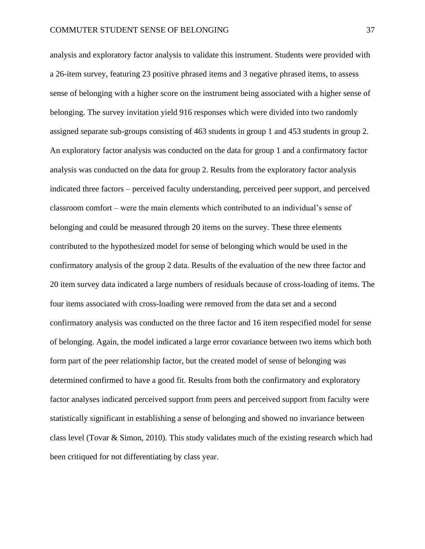analysis and exploratory factor analysis to validate this instrument. Students were provided with a 26-item survey, featuring 23 positive phrased items and 3 negative phrased items, to assess sense of belonging with a higher score on the instrument being associated with a higher sense of belonging. The survey invitation yield 916 responses which were divided into two randomly assigned separate sub-groups consisting of 463 students in group 1 and 453 students in group 2. An exploratory factor analysis was conducted on the data for group 1 and a confirmatory factor analysis was conducted on the data for group 2. Results from the exploratory factor analysis indicated three factors – perceived faculty understanding, perceived peer support, and perceived classroom comfort – were the main elements which contributed to an individual's sense of belonging and could be measured through 20 items on the survey. These three elements contributed to the hypothesized model for sense of belonging which would be used in the confirmatory analysis of the group 2 data. Results of the evaluation of the new three factor and 20 item survey data indicated a large numbers of residuals because of cross-loading of items. The four items associated with cross-loading were removed from the data set and a second confirmatory analysis was conducted on the three factor and 16 item respecified model for sense of belonging. Again, the model indicated a large error covariance between two items which both form part of the peer relationship factor, but the created model of sense of belonging was determined confirmed to have a good fit. Results from both the confirmatory and exploratory factor analyses indicated perceived support from peers and perceived support from faculty were statistically significant in establishing a sense of belonging and showed no invariance between class level (Tovar & Simon, 2010). This study validates much of the existing research which had been critiqued for not differentiating by class year.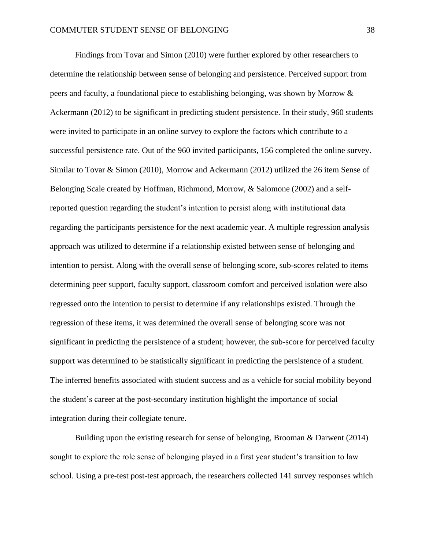Findings from Tovar and Simon (2010) were further explored by other researchers to determine the relationship between sense of belonging and persistence. Perceived support from peers and faculty, a foundational piece to establishing belonging, was shown by Morrow & Ackermann (2012) to be significant in predicting student persistence. In their study, 960 students were invited to participate in an online survey to explore the factors which contribute to a successful persistence rate. Out of the 960 invited participants, 156 completed the online survey. Similar to Tovar & Simon (2010), Morrow and Ackermann (2012) utilized the 26 item Sense of Belonging Scale created by Hoffman, Richmond, Morrow, & Salomone (2002) and a selfreported question regarding the student's intention to persist along with institutional data regarding the participants persistence for the next academic year. A multiple regression analysis approach was utilized to determine if a relationship existed between sense of belonging and intention to persist. Along with the overall sense of belonging score, sub-scores related to items determining peer support, faculty support, classroom comfort and perceived isolation were also regressed onto the intention to persist to determine if any relationships existed. Through the regression of these items, it was determined the overall sense of belonging score was not significant in predicting the persistence of a student; however, the sub-score for perceived faculty support was determined to be statistically significant in predicting the persistence of a student. The inferred benefits associated with student success and as a vehicle for social mobility beyond the student's career at the post-secondary institution highlight the importance of social integration during their collegiate tenure.

Building upon the existing research for sense of belonging, Brooman & Darwent (2014) sought to explore the role sense of belonging played in a first year student's transition to law school. Using a pre-test post-test approach, the researchers collected 141 survey responses which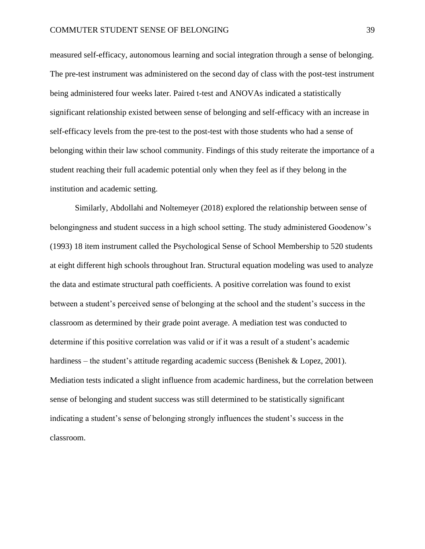measured self-efficacy, autonomous learning and social integration through a sense of belonging. The pre-test instrument was administered on the second day of class with the post-test instrument being administered four weeks later. Paired t-test and ANOVAs indicated a statistically significant relationship existed between sense of belonging and self-efficacy with an increase in self-efficacy levels from the pre-test to the post-test with those students who had a sense of belonging within their law school community. Findings of this study reiterate the importance of a student reaching their full academic potential only when they feel as if they belong in the institution and academic setting.

Similarly, Abdollahi and Noltemeyer (2018) explored the relationship between sense of belongingness and student success in a high school setting. The study administered Goodenow's (1993) 18 item instrument called the Psychological Sense of School Membership to 520 students at eight different high schools throughout Iran. Structural equation modeling was used to analyze the data and estimate structural path coefficients. A positive correlation was found to exist between a student's perceived sense of belonging at the school and the student's success in the classroom as determined by their grade point average. A mediation test was conducted to determine if this positive correlation was valid or if it was a result of a student's academic hardiness – the student's attitude regarding academic success (Benishek & Lopez, 2001). Mediation tests indicated a slight influence from academic hardiness, but the correlation between sense of belonging and student success was still determined to be statistically significant indicating a student's sense of belonging strongly influences the student's success in the classroom.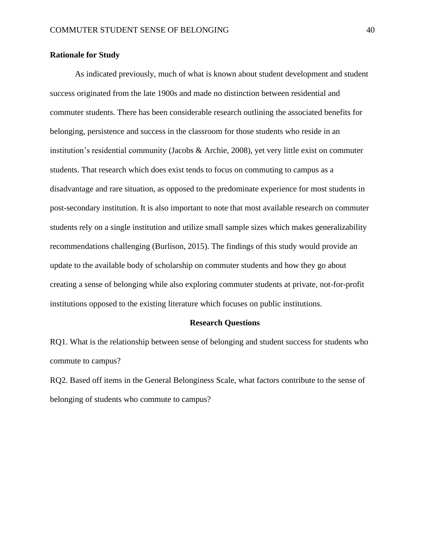### **Rationale for Study**

As indicated previously, much of what is known about student development and student success originated from the late 1900s and made no distinction between residential and commuter students. There has been considerable research outlining the associated benefits for belonging, persistence and success in the classroom for those students who reside in an institution's residential community (Jacobs & Archie, 2008), yet very little exist on commuter students. That research which does exist tends to focus on commuting to campus as a disadvantage and rare situation, as opposed to the predominate experience for most students in post-secondary institution. It is also important to note that most available research on commuter students rely on a single institution and utilize small sample sizes which makes generalizability recommendations challenging (Burlison, 2015). The findings of this study would provide an update to the available body of scholarship on commuter students and how they go about creating a sense of belonging while also exploring commuter students at private, not-for-profit institutions opposed to the existing literature which focuses on public institutions.

### **Research Questions**

RQ1. What is the relationship between sense of belonging and student success for students who commute to campus?

RQ2. Based off items in the General Belonginess Scale, what factors contribute to the sense of belonging of students who commute to campus?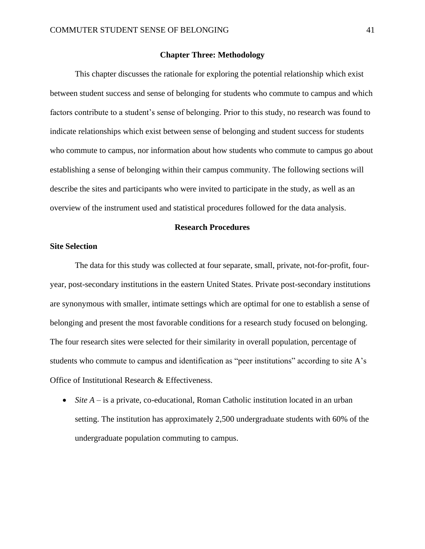### **Chapter Three: Methodology**

This chapter discusses the rationale for exploring the potential relationship which exist between student success and sense of belonging for students who commute to campus and which factors contribute to a student's sense of belonging. Prior to this study, no research was found to indicate relationships which exist between sense of belonging and student success for students who commute to campus, nor information about how students who commute to campus go about establishing a sense of belonging within their campus community. The following sections will describe the sites and participants who were invited to participate in the study, as well as an overview of the instrument used and statistical procedures followed for the data analysis.

### **Research Procedures**

#### **Site Selection**

The data for this study was collected at four separate, small, private, not-for-profit, fouryear, post-secondary institutions in the eastern United States. Private post-secondary institutions are synonymous with smaller, intimate settings which are optimal for one to establish a sense of belonging and present the most favorable conditions for a research study focused on belonging. The four research sites were selected for their similarity in overall population, percentage of students who commute to campus and identification as "peer institutions" according to site A's Office of Institutional Research & Effectiveness.

• *Site A* – is a private, co-educational, Roman Catholic institution located in an urban setting. The institution has approximately 2,500 undergraduate students with 60% of the undergraduate population commuting to campus.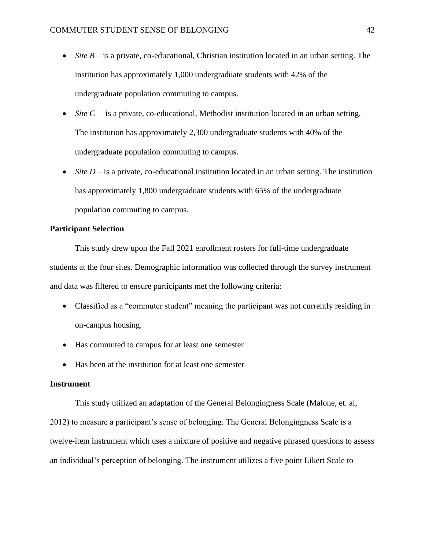- *Site B* is a private, co-educational, Christian institution located in an urban setting. The institution has approximately 1,000 undergraduate students with 42% of the undergraduate population commuting to campus.
- *Site C* is a private, co-educational, Methodist institution located in an urban setting. The institution has approximately 2,300 undergraduate students with 40% of the undergraduate population commuting to campus.
- *Site D* is a private, co-educational institution located in an urban setting. The institution has approximately 1,800 undergraduate students with 65% of the undergraduate population commuting to campus.

## **Participant Selection**

This study drew upon the Fall 2021 enrollment rosters for full-time undergraduate students at the four sites. Demographic information was collected through the survey instrument and data was filtered to ensure participants met the following criteria:

- Classified as a "commuter student" meaning the participant was not currently residing in on-campus housing.
- Has commuted to campus for at least one semester
- Has been at the institution for at least one semester

### **Instrument**

This study utilized an adaptation of the General Belongingness Scale (Malone, et. al, 2012) to measure a participant's sense of belonging. The General Belongingness Scale is a twelve-item instrument which uses a mixture of positive and negative phrased questions to assess an individual's perception of belonging. The instrument utilizes a five point Likert Scale to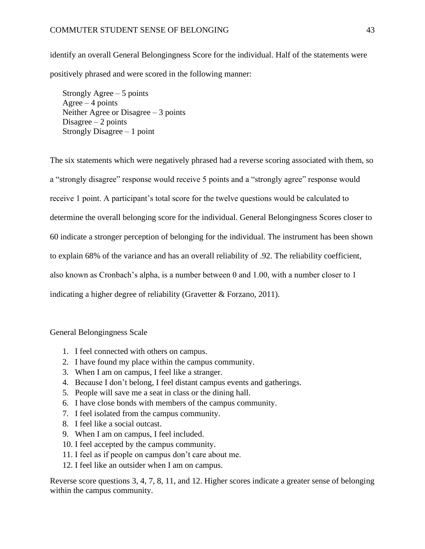### COMMUTER STUDENT SENSE OF BELONGING 43

identify an overall General Belongingness Score for the individual. Half of the statements were positively phrased and were scored in the following manner:

Strongly Agree  $-5$  points Agree  $-4$  points Neither Agree or Disagree – 3 points Disagree  $-2$  points Strongly Disagree – 1 point

The six statements which were negatively phrased had a reverse scoring associated with them, so a "strongly disagree" response would receive 5 points and a "strongly agree" response would receive 1 point. A participant's total score for the twelve questions would be calculated to determine the overall belonging score for the individual. General Belongingness Scores closer to 60 indicate a stronger perception of belonging for the individual. The instrument has been shown to explain 68% of the variance and has an overall reliability of .92. The reliability coefficient, also known as Cronbach's alpha, is a number between 0 and 1.00, with a number closer to 1 indicating a higher degree of reliability (Gravetter & Forzano, 2011).

General Belongingness Scale

- 1. I feel connected with others on campus.
- 2. I have found my place within the campus community.
- 3. When I am on campus, I feel like a stranger.
- 4. Because I don't belong, I feel distant campus events and gatherings.
- 5. People will save me a seat in class or the dining hall.
- 6. I have close bonds with members of the campus community.
- 7. I feel isolated from the campus community.
- 8. I feel like a social outcast.
- 9. When I am on campus, I feel included.
- 10. I feel accepted by the campus community.
- 11. I feel as if people on campus don't care about me.
- 12. I feel like an outsider when I am on campus.

Reverse score questions 3, 4, 7, 8, 11, and 12. Higher scores indicate a greater sense of belonging within the campus community.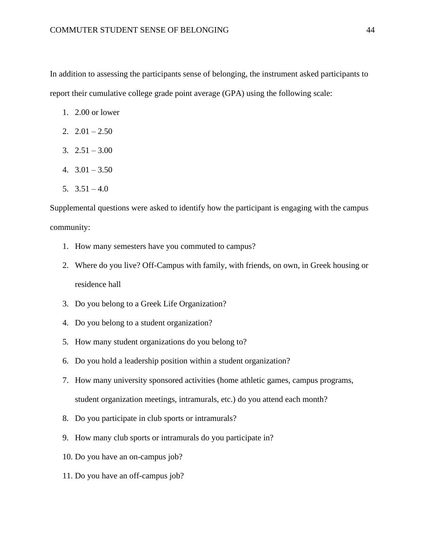In addition to assessing the participants sense of belonging, the instrument asked participants to report their cumulative college grade point average (GPA) using the following scale:

- 1. 2.00 or lower
- 2.  $2.01 2.50$
- 3.  $2.51 3.00$
- 4.  $3.01 3.50$
- 5.  $3.51 4.0$

Supplemental questions were asked to identify how the participant is engaging with the campus community:

- 1. How many semesters have you commuted to campus?
- 2. Where do you live? Off-Campus with family, with friends, on own, in Greek housing or residence hall
- 3. Do you belong to a Greek Life Organization?
- 4. Do you belong to a student organization?
- 5. How many student organizations do you belong to?
- 6. Do you hold a leadership position within a student organization?
- 7. How many university sponsored activities (home athletic games, campus programs, student organization meetings, intramurals, etc.) do you attend each month?
- 8. Do you participate in club sports or intramurals?
- 9. How many club sports or intramurals do you participate in?
- 10. Do you have an on-campus job?
- 11. Do you have an off-campus job?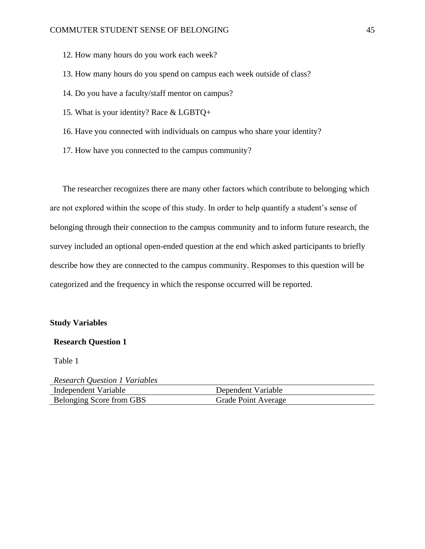- 12. How many hours do you work each week?
- 13. How many hours do you spend on campus each week outside of class?
- 14. Do you have a faculty/staff mentor on campus?
- 15. What is your identity? Race & LGBTQ+
- 16. Have you connected with individuals on campus who share your identity?
- 17. How have you connected to the campus community?

The researcher recognizes there are many other factors which contribute to belonging which are not explored within the scope of this study. In order to help quantify a student's sense of belonging through their connection to the campus community and to inform future research, the survey included an optional open-ended question at the end which asked participants to briefly describe how they are connected to the campus community. Responses to this question will be categorized and the frequency in which the response occurred will be reported.

### **Study Variables**

### **Research Question 1**

Table 1

| <b>Research Question 1 Variables</b> |                     |
|--------------------------------------|---------------------|
| Independent Variable                 | Dependent Variable  |
| Belonging Score from GBS             | Grade Point Average |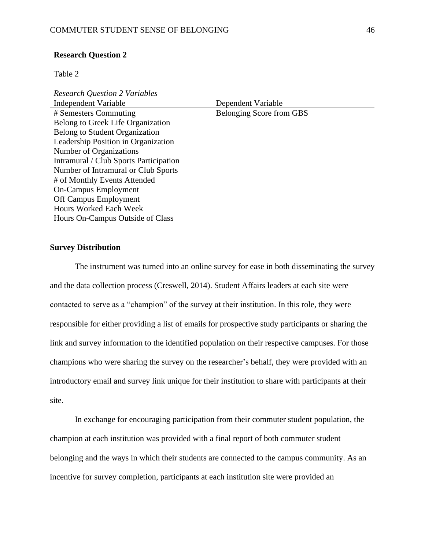#### **Research Question 2**

Table 2

*Research Question 2 Variables* 

| Independent Variable                   | Dependent Variable       |
|----------------------------------------|--------------------------|
| # Semesters Commuting                  | Belonging Score from GBS |
| Belong to Greek Life Organization      |                          |
| Belong to Student Organization         |                          |
| Leadership Position in Organization    |                          |
| Number of Organizations                |                          |
| Intramural / Club Sports Participation |                          |
| Number of Intramural or Club Sports    |                          |
| # of Monthly Events Attended           |                          |
| <b>On-Campus Employment</b>            |                          |
| Off Campus Employment                  |                          |
| <b>Hours Worked Each Week</b>          |                          |
| Hours On-Campus Outside of Class       |                          |

### **Survey Distribution**

The instrument was turned into an online survey for ease in both disseminating the survey and the data collection process (Creswell, 2014). Student Affairs leaders at each site were contacted to serve as a "champion" of the survey at their institution. In this role, they were responsible for either providing a list of emails for prospective study participants or sharing the link and survey information to the identified population on their respective campuses. For those champions who were sharing the survey on the researcher's behalf, they were provided with an introductory email and survey link unique for their institution to share with participants at their site.

In exchange for encouraging participation from their commuter student population, the champion at each institution was provided with a final report of both commuter student belonging and the ways in which their students are connected to the campus community. As an incentive for survey completion, participants at each institution site were provided an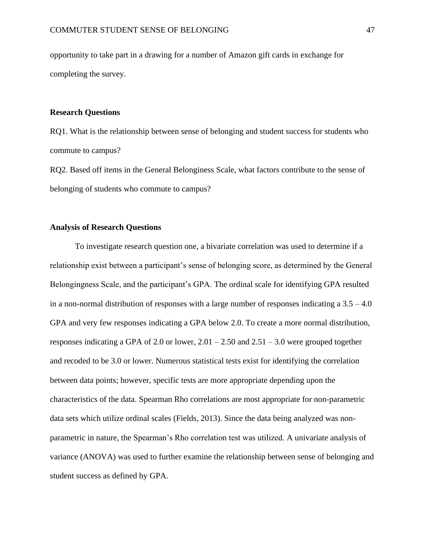opportunity to take part in a drawing for a number of Amazon gift cards in exchange for completing the survey.

### **Research Questions**

RQ1. What is the relationship between sense of belonging and student success for students who commute to campus?

RQ2. Based off items in the General Belonginess Scale, what factors contribute to the sense of belonging of students who commute to campus?

### **Analysis of Research Questions**

To investigate research question one, a bivariate correlation was used to determine if a relationship exist between a participant's sense of belonging score, as determined by the General Belongingness Scale, and the participant's GPA. The ordinal scale for identifying GPA resulted in a non-normal distribution of responses with a large number of responses indicating a  $3.5 - 4.0$ GPA and very few responses indicating a GPA below 2.0. To create a more normal distribution, responses indicating a GPA of 2.0 or lower,  $2.01 - 2.50$  and  $2.51 - 3.0$  were grouped together and recoded to be 3.0 or lower. Numerous statistical tests exist for identifying the correlation between data points; however, specific tests are more appropriate depending upon the characteristics of the data. Spearman Rho correlations are most appropriate for non-parametric data sets which utilize ordinal scales (Fields, 2013). Since the data being analyzed was nonparametric in nature, the Spearman's Rho correlation test was utilized. A univariate analysis of variance (ANOVA) was used to further examine the relationship between sense of belonging and student success as defined by GPA.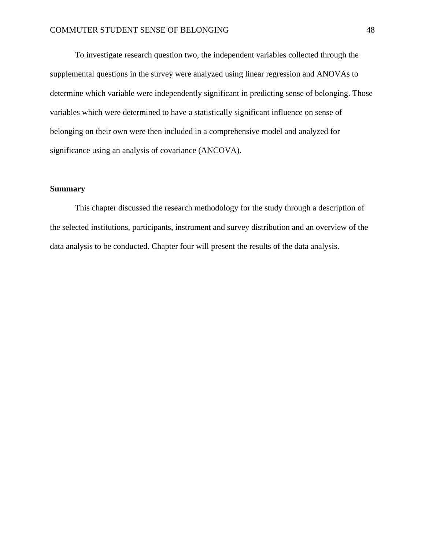To investigate research question two, the independent variables collected through the supplemental questions in the survey were analyzed using linear regression and ANOVAs to determine which variable were independently significant in predicting sense of belonging. Those variables which were determined to have a statistically significant influence on sense of belonging on their own were then included in a comprehensive model and analyzed for significance using an analysis of covariance (ANCOVA).

### **Summary**

This chapter discussed the research methodology for the study through a description of the selected institutions, participants, instrument and survey distribution and an overview of the data analysis to be conducted. Chapter four will present the results of the data analysis.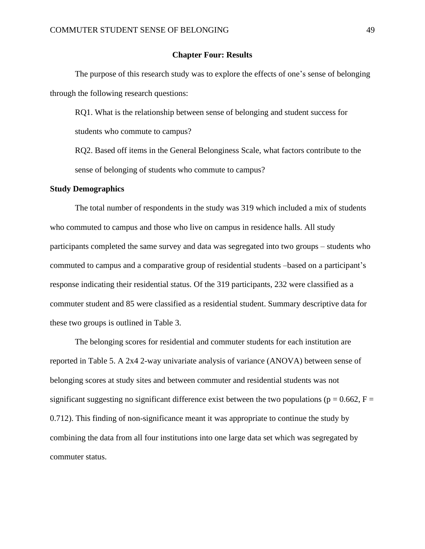### **Chapter Four: Results**

The purpose of this research study was to explore the effects of one's sense of belonging through the following research questions:

RQ1. What is the relationship between sense of belonging and student success for students who commute to campus?

RQ2. Based off items in the General Belonginess Scale, what factors contribute to the sense of belonging of students who commute to campus?

#### **Study Demographics**

The total number of respondents in the study was 319 which included a mix of students who commuted to campus and those who live on campus in residence halls. All study participants completed the same survey and data was segregated into two groups – students who commuted to campus and a comparative group of residential students –based on a participant's response indicating their residential status. Of the 319 participants, 232 were classified as a commuter student and 85 were classified as a residential student. Summary descriptive data for these two groups is outlined in Table 3.

The belonging scores for residential and commuter students for each institution are reported in Table 5. A 2x4 2-way univariate analysis of variance (ANOVA) between sense of belonging scores at study sites and between commuter and residential students was not significant suggesting no significant difference exist between the two populations ( $p = 0.662$ ,  $F =$ 0.712). This finding of non-significance meant it was appropriate to continue the study by combining the data from all four institutions into one large data set which was segregated by commuter status.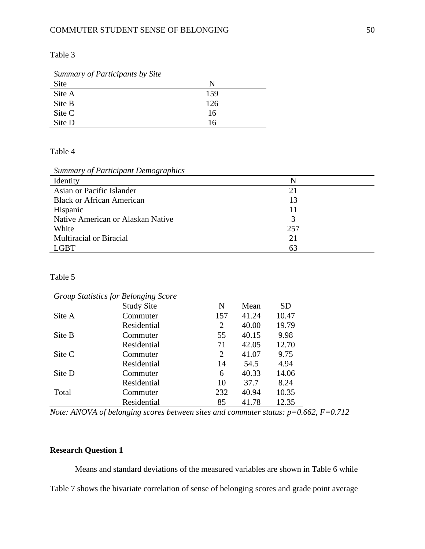Table 3

| Summary of Participants by Site |     |
|---------------------------------|-----|
| Site                            |     |
| Site A                          | 159 |
| Site B                          | 126 |
| Site C                          | 16  |
| Site D                          | 16  |

## Table 4

*Summary of Participant Demographics*

| Identity                          |     |
|-----------------------------------|-----|
| Asian or Pacific Islander         | 21  |
| <b>Black or African American</b>  | 13  |
| Hispanic                          | 11  |
| Native American or Alaskan Native | 3   |
| White                             | 257 |
| Multiracial or Biracial           | 21  |
| GBT                               | 63  |

### Table 5

*Group Statistics for Belonging Score*

|        | <b>Study Site</b> | N              | Mean  | <b>SD</b> |
|--------|-------------------|----------------|-------|-----------|
| Site A | Commuter          | 157            | 41.24 | 10.47     |
|        | Residential       | $\overline{2}$ | 40.00 | 19.79     |
| Site B | Commuter          | 55             | 40.15 | 9.98      |
|        | Residential       | 71             | 42.05 | 12.70     |
| Site C | Commuter          | 2              | 41.07 | 9.75      |
|        | Residential       | 14             | 54.5  | 4.94      |
| Site D | Commuter          | 6              | 40.33 | 14.06     |
|        | Residential       | 10             | 37.7  | 8.24      |
| Total  | Commuter          | 232            | 40.94 | 10.35     |
|        | Residential       | 85             | 41.78 | 12.35     |

*Note: ANOVA of belonging scores between sites and commuter status: p=0.662, F=0.712*

# **Research Question 1**

Means and standard deviations of the measured variables are shown in Table 6 while Table 7 shows the bivariate correlation of sense of belonging scores and grade point average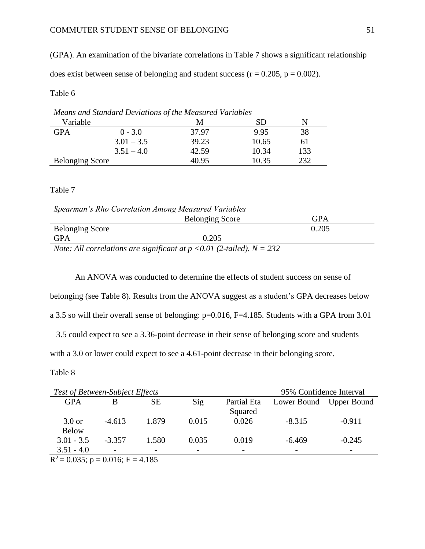(GPA). An examination of the bivariate correlations in Table 7 shows a significant relationship does exist between sense of belonging and student success ( $r = 0.205$ ,  $p = 0.002$ ).

### Table 6

| Means and Standard Deviations of the Measured Variables |              |       |       |     |  |
|---------------------------------------------------------|--------------|-------|-------|-----|--|
| Variable                                                |              | М     | SD    |     |  |
| <b>GPA</b>                                              | $0 - 3.0$    | 37.97 | 9.95  |     |  |
|                                                         | $3.01 - 3.5$ | 39.23 | 10.65 | 61  |  |
|                                                         | $3.51 - 4.0$ | 42.59 | 10.34 | 133 |  |
| <b>Belonging Score</b>                                  |              | 40.95 | 10.35 | າາາ |  |

### Table 7

| Spearman's Rho Correlation Among Measured Variables |  |
|-----------------------------------------------------|--|
|-----------------------------------------------------|--|

|                        | <b>Belonging Score</b>                                                       | GPA   |
|------------------------|------------------------------------------------------------------------------|-------|
| <b>Belonging Score</b> |                                                                              | 0.205 |
| GPA                    | 0.205                                                                        |       |
|                        | Note: All correlations are significant at $p \le 0.01$ (2-tailed), $N = 232$ |       |

*Note: All correlations are significant at p <0.01 (2-tailed). N = 232* 

An ANOVA was conducted to determine the effects of student success on sense of belonging (see Table 8). Results from the ANOVA suggest as a student's GPA decreases below a 3.5 so will their overall sense of belonging: p=0.016, F=4.185. Students with a GPA from 3.01 – 3.5 could expect to see a 3.36-point decrease in their sense of belonging score and students

with a 3.0 or lower could expect to see a 4.61-point decrease in their belonging score.

### Table 8

| <b>Test of Between-Subject Effects</b> |          |           |       |             | 95% Confidence Interval  |                         |
|----------------------------------------|----------|-----------|-------|-------------|--------------------------|-------------------------|
| <b>GPA</b>                             | B        | <b>SE</b> | Sig   | Partial Eta |                          | Lower Bound Upper Bound |
|                                        |          |           |       | Squared     |                          |                         |
| $3.0$ or                               | $-4.613$ | 1.879     | 0.015 | 0.026       | $-8.315$                 | $-0.911$                |
| <b>Below</b>                           |          |           |       |             |                          |                         |
| $3.01 - 3.5$                           | $-3.357$ | 1.580     | 0.035 | 0.019       | $-6.469$                 | $-0.245$                |
| $3.51 - 4.0$                           |          |           |       |             | $\overline{\phantom{0}}$ |                         |
| $R^2 = 0.035$ ; p = 0.016; F = 4.185   |          |           |       |             |                          |                         |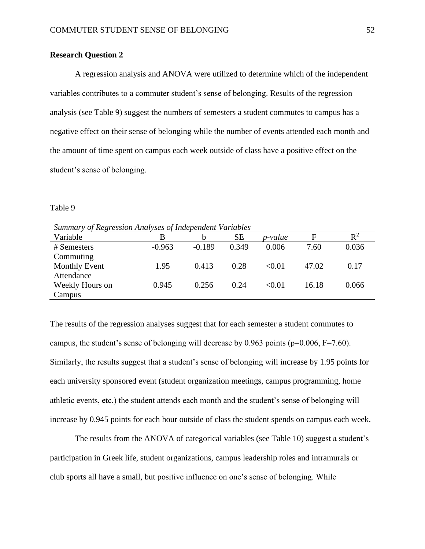### **Research Question 2**

A regression analysis and ANOVA were utilized to determine which of the independent variables contributes to a commuter student's sense of belonging. Results of the regression analysis (see Table 9) suggest the numbers of semesters a student commutes to campus has a negative effect on their sense of belonging while the number of events attended each month and the amount of time spent on campus each week outside of class have a positive effect on the student's sense of belonging.

### Table 9

*Summary of Regression Analyses of Independent Variables*

| Variable             | B        | b        | <b>SE</b> | <i>p-value</i> | E     | $\mathbb{R}^2$ |
|----------------------|----------|----------|-----------|----------------|-------|----------------|
| # Semesters          | $-0.963$ | $-0.189$ | 0.349     | 0.006          | 7.60  | 0.036          |
| Commuting            |          |          |           |                |       |                |
| <b>Monthly Event</b> | 1.95     | 0.413    | 0.28      | < 0.01         | 47.02 | 0.17           |
| Attendance           |          |          |           |                |       |                |
| Weekly Hours on      | 0.945    | 0.256    | 0.24      | < 0.01         | 16.18 | 0.066          |
| Campus               |          |          |           |                |       |                |
|                      |          |          |           |                |       |                |

The results of the regression analyses suggest that for each semester a student commutes to campus, the student's sense of belonging will decrease by 0.963 points ( $p=0.006$ ,  $F=7.60$ ). Similarly, the results suggest that a student's sense of belonging will increase by 1.95 points for each university sponsored event (student organization meetings, campus programming, home athletic events, etc.) the student attends each month and the student's sense of belonging will increase by 0.945 points for each hour outside of class the student spends on campus each week.

The results from the ANOVA of categorical variables (see Table 10) suggest a student's participation in Greek life, student organizations, campus leadership roles and intramurals or club sports all have a small, but positive influence on one's sense of belonging. While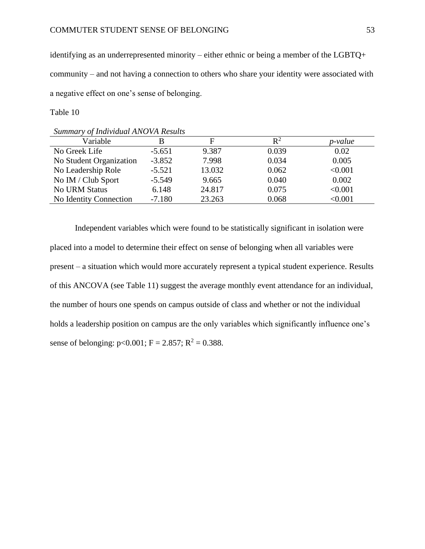identifying as an underrepresented minority – either ethnic or being a member of the LGBTQ+ community – and not having a connection to others who share your identity were associated with a negative effect on one's sense of belonging.

Table 10

| Summary of Individual ANOVA Results |          |        |                |         |
|-------------------------------------|----------|--------|----------------|---------|
| Variable                            | В        | F      | $\mathbf{R}^2$ | p-value |
| No Greek Life                       | $-5.651$ | 9.387  | 0.039          | 0.02    |
| No Student Organization             | $-3.852$ | 7.998  | 0.034          | 0.005   |
| No Leadership Role                  | $-5.521$ | 13.032 | 0.062          | < 0.001 |
| No IM / Club Sport                  | $-5.549$ | 9.665  | 0.040          | 0.002   |
| <b>No URM Status</b>                | 6.148    | 24.817 | 0.075          | < 0.001 |
| No Identity Connection              | $-7.180$ | 23.263 | 0.068          | < 0.001 |

Independent variables which were found to be statistically significant in isolation were placed into a model to determine their effect on sense of belonging when all variables were present – a situation which would more accurately represent a typical student experience. Results of this ANCOVA (see Table 11) suggest the average monthly event attendance for an individual, the number of hours one spends on campus outside of class and whether or not the individual holds a leadership position on campus are the only variables which significantly influence one's sense of belonging:  $p < 0.001$ ; F = 2.857; R<sup>2</sup> = 0.388.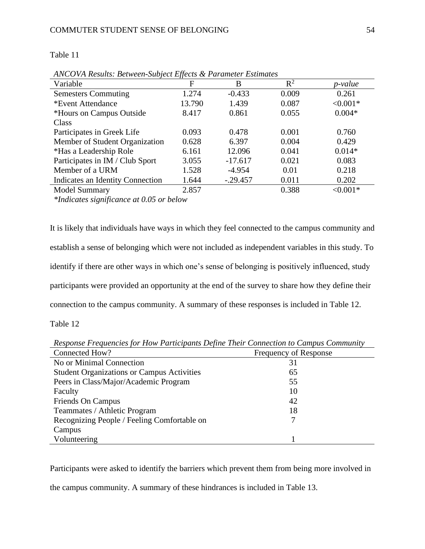| Subject Effects & Parameter Estimates |  |  |
|---------------------------------------|--|--|

| ANCOVA Results: Between-Subject Effects & Parameter Estimates |        |            |       |                |
|---------------------------------------------------------------|--------|------------|-------|----------------|
| Variable                                                      | F      | B          | $R^2$ | <i>p-value</i> |
| <b>Semesters Commuting</b>                                    | 1.274  | $-0.433$   | 0.009 | 0.261          |
| *Event Attendance                                             | 13.790 | 1.439      | 0.087 | $< 0.001*$     |
| *Hours on Campus Outside                                      | 8.417  | 0.861      | 0.055 | $0.004*$       |
| Class                                                         |        |            |       |                |
| Participates in Greek Life                                    | 0.093  | 0.478      | 0.001 | 0.760          |
| Member of Student Organization                                | 0.628  | 6.397      | 0.004 | 0.429          |
| *Has a Leadership Role                                        | 6.161  | 12.096     | 0.041 | $0.014*$       |
| Participates in IM / Club Sport                               | 3.055  | $-17.617$  | 0.021 | 0.083          |
| Member of a URM                                               | 1.528  | $-4.954$   | 0.01  | 0.218          |
| Indicates an Identity Connection                              | 1.644  | $-.29.457$ | 0.011 | 0.202          |
| <b>Model Summary</b>                                          | 2.857  |            | 0.388 | $< 0.001*$     |

*\*Indicates significance at 0.05 or below*

It is likely that individuals have ways in which they feel connected to the campus community and establish a sense of belonging which were not included as independent variables in this study. To identify if there are other ways in which one's sense of belonging is positively influenced, study participants were provided an opportunity at the end of the survey to share how they define their connection to the campus community. A summary of these responses is included in Table 12.

Table 12

Table 11

Connected How? Frequency of Response No or Minimal Connection 31 Student Organizations or Campus Activities 65 Peers in Class/Major/Academic Program 55 Faculty 10 Friends On Campus 42 Teammates / Athletic Program 18 Recognizing People / Feeling Comfortable on Campus 7 Volunteering 1

*Response Frequencies for How Participants Define Their Connection to Campus Community*

Participants were asked to identify the barriers which prevent them from being more involved in

the campus community. A summary of these hindrances is included in Table 13.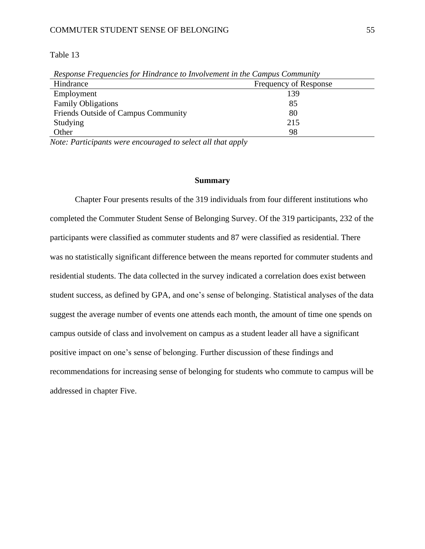### COMMUTER STUDENT SENSE OF BELONGING 55

### Table 13

| Response Frequencies for Hindrance to Involvement in the Campus Community |                       |  |  |
|---------------------------------------------------------------------------|-----------------------|--|--|
| Hindrance                                                                 | Frequency of Response |  |  |
| Employment                                                                | 139                   |  |  |
| <b>Family Obligations</b>                                                 | 85                    |  |  |
| Friends Outside of Campus Community                                       | 80                    |  |  |
| Studying                                                                  | 215                   |  |  |
| Other                                                                     | 98                    |  |  |

*Response Frequencies for Hindrance to Involvement in the Campus Community*

*Note: Participants were encouraged to select all that apply*

#### **Summary**

Chapter Four presents results of the 319 individuals from four different institutions who completed the Commuter Student Sense of Belonging Survey. Of the 319 participants, 232 of the participants were classified as commuter students and 87 were classified as residential. There was no statistically significant difference between the means reported for commuter students and residential students. The data collected in the survey indicated a correlation does exist between student success, as defined by GPA, and one's sense of belonging. Statistical analyses of the data suggest the average number of events one attends each month, the amount of time one spends on campus outside of class and involvement on campus as a student leader all have a significant positive impact on one's sense of belonging. Further discussion of these findings and recommendations for increasing sense of belonging for students who commute to campus will be addressed in chapter Five.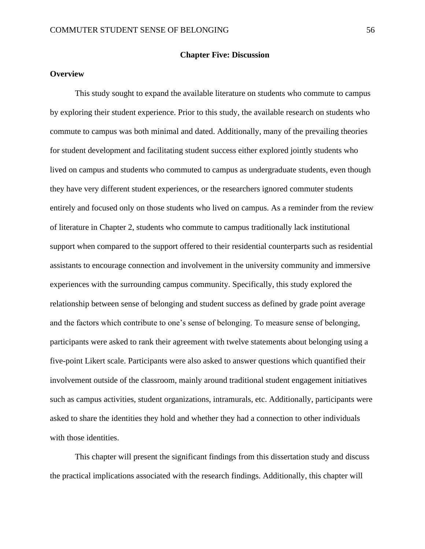### **Chapter Five: Discussion**

### **Overview**

This study sought to expand the available literature on students who commute to campus by exploring their student experience. Prior to this study, the available research on students who commute to campus was both minimal and dated. Additionally, many of the prevailing theories for student development and facilitating student success either explored jointly students who lived on campus and students who commuted to campus as undergraduate students, even though they have very different student experiences, or the researchers ignored commuter students entirely and focused only on those students who lived on campus. As a reminder from the review of literature in Chapter 2, students who commute to campus traditionally lack institutional support when compared to the support offered to their residential counterparts such as residential assistants to encourage connection and involvement in the university community and immersive experiences with the surrounding campus community. Specifically, this study explored the relationship between sense of belonging and student success as defined by grade point average and the factors which contribute to one's sense of belonging. To measure sense of belonging, participants were asked to rank their agreement with twelve statements about belonging using a five-point Likert scale. Participants were also asked to answer questions which quantified their involvement outside of the classroom, mainly around traditional student engagement initiatives such as campus activities, student organizations, intramurals, etc. Additionally, participants were asked to share the identities they hold and whether they had a connection to other individuals with those identities.

This chapter will present the significant findings from this dissertation study and discuss the practical implications associated with the research findings. Additionally, this chapter will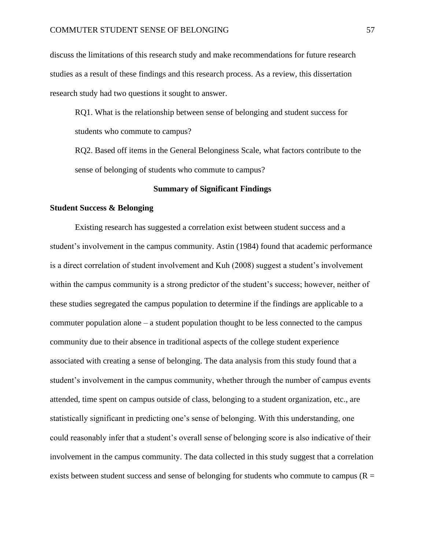discuss the limitations of this research study and make recommendations for future research studies as a result of these findings and this research process. As a review, this dissertation research study had two questions it sought to answer.

RQ1. What is the relationship between sense of belonging and student success for students who commute to campus?

RQ2. Based off items in the General Belonginess Scale, what factors contribute to the sense of belonging of students who commute to campus?

#### **Summary of Significant Findings**

### **Student Success & Belonging**

Existing research has suggested a correlation exist between student success and a student's involvement in the campus community. Astin (1984) found that academic performance is a direct correlation of student involvement and Kuh (2008) suggest a student's involvement within the campus community is a strong predictor of the student's success; however, neither of these studies segregated the campus population to determine if the findings are applicable to a commuter population alone – a student population thought to be less connected to the campus community due to their absence in traditional aspects of the college student experience associated with creating a sense of belonging. The data analysis from this study found that a student's involvement in the campus community, whether through the number of campus events attended, time spent on campus outside of class, belonging to a student organization, etc., are statistically significant in predicting one's sense of belonging. With this understanding, one could reasonably infer that a student's overall sense of belonging score is also indicative of their involvement in the campus community. The data collected in this study suggest that a correlation exists between student success and sense of belonging for students who commute to campus ( $R =$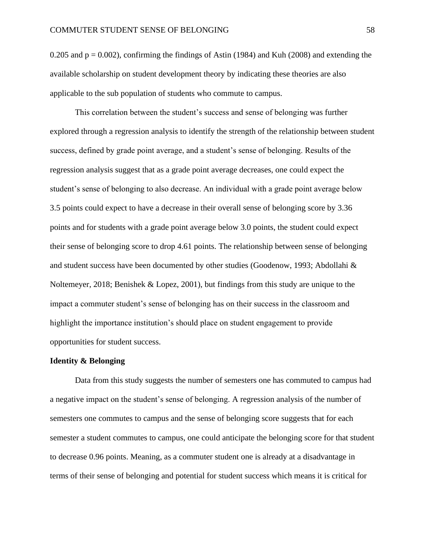0.205 and  $p = 0.002$ ), confirming the findings of Astin (1984) and Kuh (2008) and extending the available scholarship on student development theory by indicating these theories are also applicable to the sub population of students who commute to campus.

This correlation between the student's success and sense of belonging was further explored through a regression analysis to identify the strength of the relationship between student success, defined by grade point average, and a student's sense of belonging. Results of the regression analysis suggest that as a grade point average decreases, one could expect the student's sense of belonging to also decrease. An individual with a grade point average below 3.5 points could expect to have a decrease in their overall sense of belonging score by 3.36 points and for students with a grade point average below 3.0 points, the student could expect their sense of belonging score to drop 4.61 points. The relationship between sense of belonging and student success have been documented by other studies (Goodenow, 1993; Abdollahi & Noltemeyer, 2018; Benishek & Lopez, 2001), but findings from this study are unique to the impact a commuter student's sense of belonging has on their success in the classroom and highlight the importance institution's should place on student engagement to provide opportunities for student success.

#### **Identity & Belonging**

Data from this study suggests the number of semesters one has commuted to campus had a negative impact on the student's sense of belonging. A regression analysis of the number of semesters one commutes to campus and the sense of belonging score suggests that for each semester a student commutes to campus, one could anticipate the belonging score for that student to decrease 0.96 points. Meaning, as a commuter student one is already at a disadvantage in terms of their sense of belonging and potential for student success which means it is critical for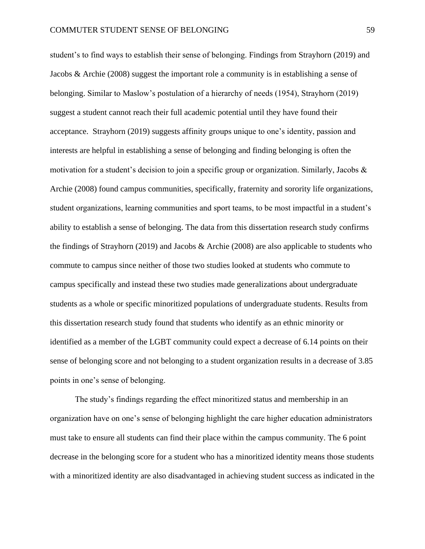student's to find ways to establish their sense of belonging. Findings from Strayhorn (2019) and Jacobs & Archie (2008) suggest the important role a community is in establishing a sense of belonging. Similar to Maslow's postulation of a hierarchy of needs (1954), Strayhorn (2019) suggest a student cannot reach their full academic potential until they have found their acceptance. Strayhorn (2019) suggests affinity groups unique to one's identity, passion and interests are helpful in establishing a sense of belonging and finding belonging is often the motivation for a student's decision to join a specific group or organization. Similarly, Jacobs & Archie (2008) found campus communities, specifically, fraternity and sorority life organizations, student organizations, learning communities and sport teams, to be most impactful in a student's ability to establish a sense of belonging. The data from this dissertation research study confirms the findings of Strayhorn (2019) and Jacobs & Archie (2008) are also applicable to students who commute to campus since neither of those two studies looked at students who commute to campus specifically and instead these two studies made generalizations about undergraduate students as a whole or specific minoritized populations of undergraduate students. Results from this dissertation research study found that students who identify as an ethnic minority or identified as a member of the LGBT community could expect a decrease of 6.14 points on their sense of belonging score and not belonging to a student organization results in a decrease of 3.85 points in one's sense of belonging.

The study's findings regarding the effect minoritized status and membership in an organization have on one's sense of belonging highlight the care higher education administrators must take to ensure all students can find their place within the campus community. The 6 point decrease in the belonging score for a student who has a minoritized identity means those students with a minoritized identity are also disadvantaged in achieving student success as indicated in the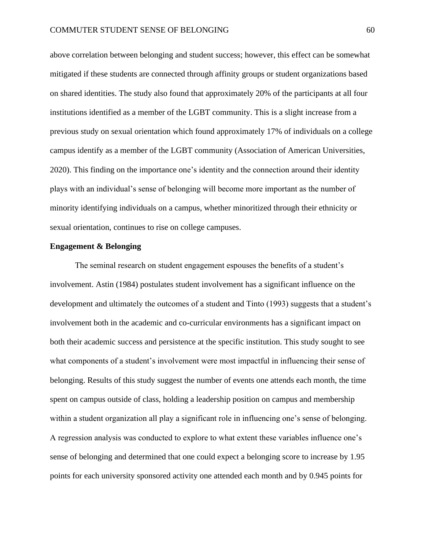above correlation between belonging and student success; however, this effect can be somewhat mitigated if these students are connected through affinity groups or student organizations based on shared identities. The study also found that approximately 20% of the participants at all four institutions identified as a member of the LGBT community. This is a slight increase from a previous study on sexual orientation which found approximately 17% of individuals on a college campus identify as a member of the LGBT community (Association of American Universities, 2020). This finding on the importance one's identity and the connection around their identity plays with an individual's sense of belonging will become more important as the number of minority identifying individuals on a campus, whether minoritized through their ethnicity or sexual orientation, continues to rise on college campuses.

### **Engagement & Belonging**

The seminal research on student engagement espouses the benefits of a student's involvement. Astin (1984) postulates student involvement has a significant influence on the development and ultimately the outcomes of a student and Tinto (1993) suggests that a student's involvement both in the academic and co-curricular environments has a significant impact on both their academic success and persistence at the specific institution. This study sought to see what components of a student's involvement were most impactful in influencing their sense of belonging. Results of this study suggest the number of events one attends each month, the time spent on campus outside of class, holding a leadership position on campus and membership within a student organization all play a significant role in influencing one's sense of belonging. A regression analysis was conducted to explore to what extent these variables influence one's sense of belonging and determined that one could expect a belonging score to increase by 1.95 points for each university sponsored activity one attended each month and by 0.945 points for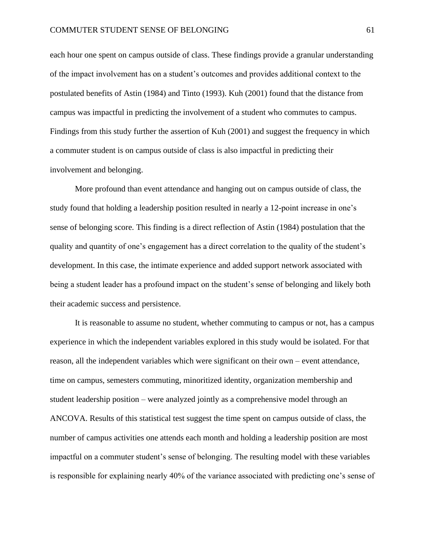each hour one spent on campus outside of class. These findings provide a granular understanding of the impact involvement has on a student's outcomes and provides additional context to the postulated benefits of Astin (1984) and Tinto (1993). Kuh (2001) found that the distance from campus was impactful in predicting the involvement of a student who commutes to campus. Findings from this study further the assertion of Kuh (2001) and suggest the frequency in which a commuter student is on campus outside of class is also impactful in predicting their involvement and belonging.

More profound than event attendance and hanging out on campus outside of class, the study found that holding a leadership position resulted in nearly a 12-point increase in one's sense of belonging score. This finding is a direct reflection of Astin (1984) postulation that the quality and quantity of one's engagement has a direct correlation to the quality of the student's development. In this case, the intimate experience and added support network associated with being a student leader has a profound impact on the student's sense of belonging and likely both their academic success and persistence.

It is reasonable to assume no student, whether commuting to campus or not, has a campus experience in which the independent variables explored in this study would be isolated. For that reason, all the independent variables which were significant on their own – event attendance, time on campus, semesters commuting, minoritized identity, organization membership and student leadership position – were analyzed jointly as a comprehensive model through an ANCOVA. Results of this statistical test suggest the time spent on campus outside of class, the number of campus activities one attends each month and holding a leadership position are most impactful on a commuter student's sense of belonging. The resulting model with these variables is responsible for explaining nearly 40% of the variance associated with predicting one's sense of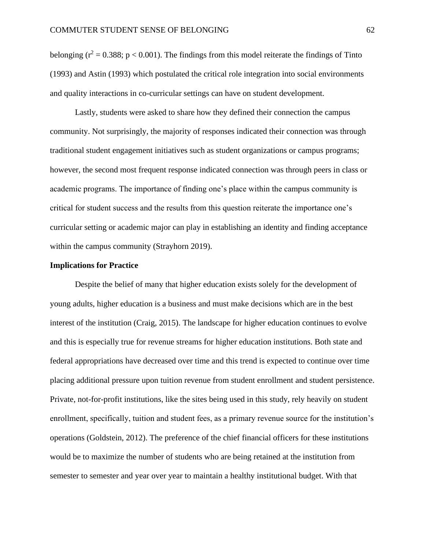belonging ( $r^2 = 0.388$ ; p < 0.001). The findings from this model reiterate the findings of Tinto (1993) and Astin (1993) which postulated the critical role integration into social environments and quality interactions in co-curricular settings can have on student development.

Lastly, students were asked to share how they defined their connection the campus community. Not surprisingly, the majority of responses indicated their connection was through traditional student engagement initiatives such as student organizations or campus programs; however, the second most frequent response indicated connection was through peers in class or academic programs. The importance of finding one's place within the campus community is critical for student success and the results from this question reiterate the importance one's curricular setting or academic major can play in establishing an identity and finding acceptance within the campus community (Strayhorn 2019).

### **Implications for Practice**

Despite the belief of many that higher education exists solely for the development of young adults, higher education is a business and must make decisions which are in the best interest of the institution (Craig, 2015). The landscape for higher education continues to evolve and this is especially true for revenue streams for higher education institutions. Both state and federal appropriations have decreased over time and this trend is expected to continue over time placing additional pressure upon tuition revenue from student enrollment and student persistence. Private, not-for-profit institutions, like the sites being used in this study, rely heavily on student enrollment, specifically, tuition and student fees, as a primary revenue source for the institution's operations (Goldstein, 2012). The preference of the chief financial officers for these institutions would be to maximize the number of students who are being retained at the institution from semester to semester and year over year to maintain a healthy institutional budget. With that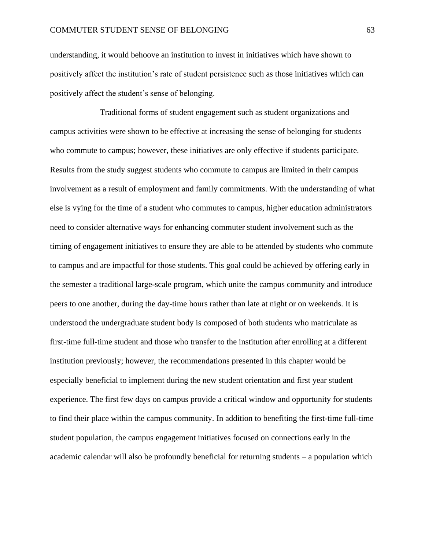### COMMUTER STUDENT SENSE OF BELONGING 63

understanding, it would behoove an institution to invest in initiatives which have shown to positively affect the institution's rate of student persistence such as those initiatives which can positively affect the student's sense of belonging.

Traditional forms of student engagement such as student organizations and campus activities were shown to be effective at increasing the sense of belonging for students who commute to campus; however, these initiatives are only effective if students participate. Results from the study suggest students who commute to campus are limited in their campus involvement as a result of employment and family commitments. With the understanding of what else is vying for the time of a student who commutes to campus, higher education administrators need to consider alternative ways for enhancing commuter student involvement such as the timing of engagement initiatives to ensure they are able to be attended by students who commute to campus and are impactful for those students. This goal could be achieved by offering early in the semester a traditional large-scale program, which unite the campus community and introduce peers to one another, during the day-time hours rather than late at night or on weekends. It is understood the undergraduate student body is composed of both students who matriculate as first-time full-time student and those who transfer to the institution after enrolling at a different institution previously; however, the recommendations presented in this chapter would be especially beneficial to implement during the new student orientation and first year student experience. The first few days on campus provide a critical window and opportunity for students to find their place within the campus community. In addition to benefiting the first-time full-time student population, the campus engagement initiatives focused on connections early in the academic calendar will also be profoundly beneficial for returning students – a population which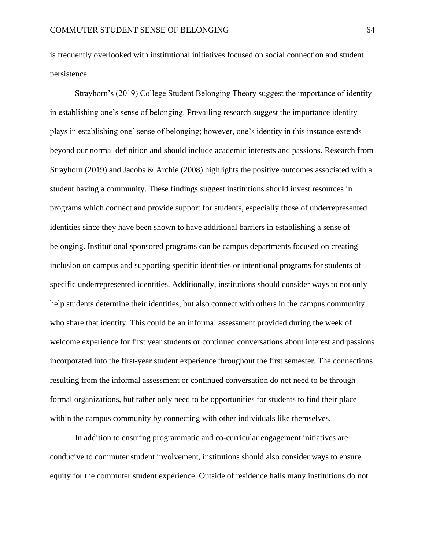is frequently overlooked with institutional initiatives focused on social connection and student persistence.

Strayhorn's (2019) College Student Belonging Theory suggest the importance of identity in establishing one's sense of belonging. Prevailing research suggest the importance identity plays in establishing one' sense of belonging; however, one's identity in this instance extends beyond our normal definition and should include academic interests and passions. Research from Strayhorn (2019) and Jacobs & Archie (2008) highlights the positive outcomes associated with a student having a community. These findings suggest institutions should invest resources in programs which connect and provide support for students, especially those of underrepresented identities since they have been shown to have additional barriers in establishing a sense of belonging. Institutional sponsored programs can be campus departments focused on creating inclusion on campus and supporting specific identities or intentional programs for students of specific underrepresented identities. Additionally, institutions should consider ways to not only help students determine their identities, but also connect with others in the campus community who share that identity. This could be an informal assessment provided during the week of welcome experience for first year students or continued conversations about interest and passions incorporated into the first-year student experience throughout the first semester. The connections resulting from the informal assessment or continued conversation do not need to be through formal organizations, but rather only need to be opportunities for students to find their place within the campus community by connecting with other individuals like themselves.

In addition to ensuring programmatic and co-curricular engagement initiatives are conducive to commuter student involvement, institutions should also consider ways to ensure equity for the commuter student experience. Outside of residence halls many institutions do not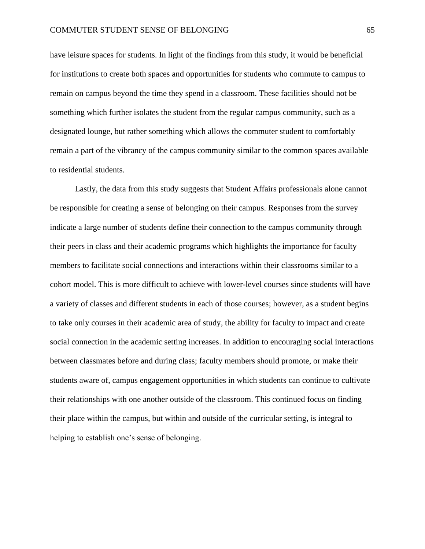have leisure spaces for students. In light of the findings from this study, it would be beneficial for institutions to create both spaces and opportunities for students who commute to campus to remain on campus beyond the time they spend in a classroom. These facilities should not be something which further isolates the student from the regular campus community, such as a designated lounge, but rather something which allows the commuter student to comfortably remain a part of the vibrancy of the campus community similar to the common spaces available to residential students.

Lastly, the data from this study suggests that Student Affairs professionals alone cannot be responsible for creating a sense of belonging on their campus. Responses from the survey indicate a large number of students define their connection to the campus community through their peers in class and their academic programs which highlights the importance for faculty members to facilitate social connections and interactions within their classrooms similar to a cohort model. This is more difficult to achieve with lower-level courses since students will have a variety of classes and different students in each of those courses; however, as a student begins to take only courses in their academic area of study, the ability for faculty to impact and create social connection in the academic setting increases. In addition to encouraging social interactions between classmates before and during class; faculty members should promote, or make their students aware of, campus engagement opportunities in which students can continue to cultivate their relationships with one another outside of the classroom. This continued focus on finding their place within the campus, but within and outside of the curricular setting, is integral to helping to establish one's sense of belonging.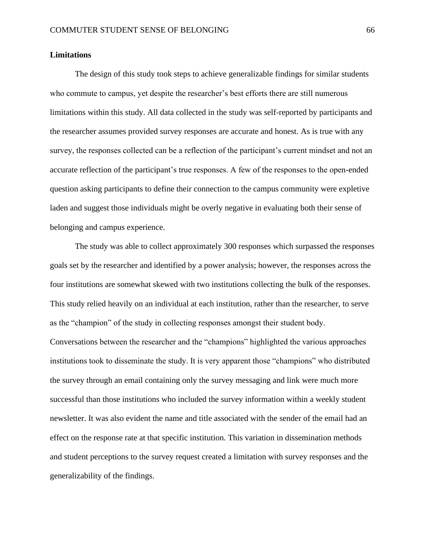### **Limitations**

The design of this study took steps to achieve generalizable findings for similar students who commute to campus, yet despite the researcher's best efforts there are still numerous limitations within this study. All data collected in the study was self-reported by participants and the researcher assumes provided survey responses are accurate and honest. As is true with any survey, the responses collected can be a reflection of the participant's current mindset and not an accurate reflection of the participant's true responses. A few of the responses to the open-ended question asking participants to define their connection to the campus community were expletive laden and suggest those individuals might be overly negative in evaluating both their sense of belonging and campus experience.

The study was able to collect approximately 300 responses which surpassed the responses goals set by the researcher and identified by a power analysis; however, the responses across the four institutions are somewhat skewed with two institutions collecting the bulk of the responses. This study relied heavily on an individual at each institution, rather than the researcher, to serve as the "champion" of the study in collecting responses amongst their student body. Conversations between the researcher and the "champions" highlighted the various approaches institutions took to disseminate the study. It is very apparent those "champions" who distributed the survey through an email containing only the survey messaging and link were much more successful than those institutions who included the survey information within a weekly student newsletter. It was also evident the name and title associated with the sender of the email had an effect on the response rate at that specific institution. This variation in dissemination methods and student perceptions to the survey request created a limitation with survey responses and the generalizability of the findings.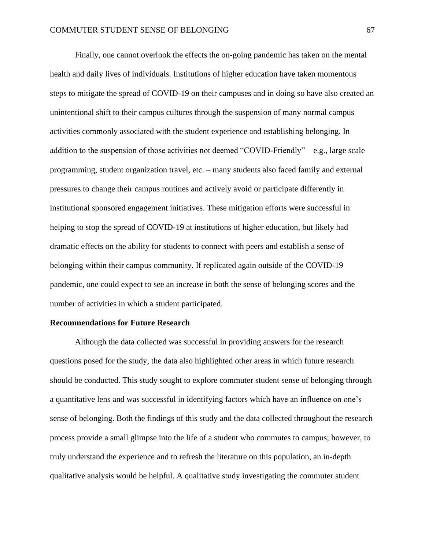Finally, one cannot overlook the effects the on-going pandemic has taken on the mental health and daily lives of individuals. Institutions of higher education have taken momentous steps to mitigate the spread of COVID-19 on their campuses and in doing so have also created an unintentional shift to their campus cultures through the suspension of many normal campus activities commonly associated with the student experience and establishing belonging. In addition to the suspension of those activities not deemed "COVID-Friendly" – e.g., large scale programming, student organization travel, etc. – many students also faced family and external pressures to change their campus routines and actively avoid or participate differently in institutional sponsored engagement initiatives. These mitigation efforts were successful in helping to stop the spread of COVID-19 at institutions of higher education, but likely had dramatic effects on the ability for students to connect with peers and establish a sense of belonging within their campus community. If replicated again outside of the COVID-19 pandemic, one could expect to see an increase in both the sense of belonging scores and the number of activities in which a student participated.

#### **Recommendations for Future Research**

Although the data collected was successful in providing answers for the research questions posed for the study, the data also highlighted other areas in which future research should be conducted. This study sought to explore commuter student sense of belonging through a quantitative lens and was successful in identifying factors which have an influence on one's sense of belonging. Both the findings of this study and the data collected throughout the research process provide a small glimpse into the life of a student who commutes to campus; however, to truly understand the experience and to refresh the literature on this population, an in-depth qualitative analysis would be helpful. A qualitative study investigating the commuter student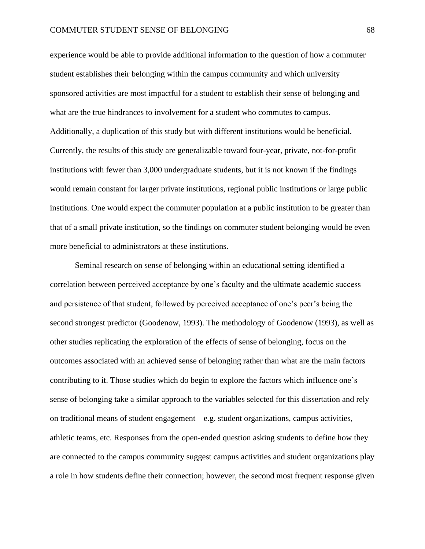experience would be able to provide additional information to the question of how a commuter student establishes their belonging within the campus community and which university sponsored activities are most impactful for a student to establish their sense of belonging and what are the true hindrances to involvement for a student who commutes to campus. Additionally, a duplication of this study but with different institutions would be beneficial. Currently, the results of this study are generalizable toward four-year, private, not-for-profit institutions with fewer than 3,000 undergraduate students, but it is not known if the findings would remain constant for larger private institutions, regional public institutions or large public institutions. One would expect the commuter population at a public institution to be greater than that of a small private institution, so the findings on commuter student belonging would be even more beneficial to administrators at these institutions.

Seminal research on sense of belonging within an educational setting identified a correlation between perceived acceptance by one's faculty and the ultimate academic success and persistence of that student, followed by perceived acceptance of one's peer's being the second strongest predictor (Goodenow, 1993). The methodology of Goodenow (1993), as well as other studies replicating the exploration of the effects of sense of belonging, focus on the outcomes associated with an achieved sense of belonging rather than what are the main factors contributing to it. Those studies which do begin to explore the factors which influence one's sense of belonging take a similar approach to the variables selected for this dissertation and rely on traditional means of student engagement – e.g. student organizations, campus activities, athletic teams, etc. Responses from the open-ended question asking students to define how they are connected to the campus community suggest campus activities and student organizations play a role in how students define their connection; however, the second most frequent response given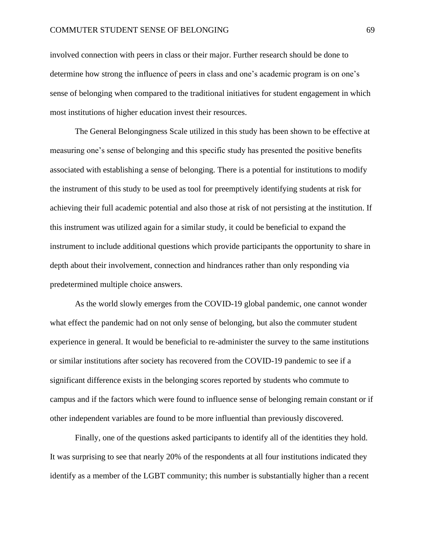### COMMUTER STUDENT SENSE OF BELONGING 69

involved connection with peers in class or their major. Further research should be done to determine how strong the influence of peers in class and one's academic program is on one's sense of belonging when compared to the traditional initiatives for student engagement in which most institutions of higher education invest their resources.

The General Belongingness Scale utilized in this study has been shown to be effective at measuring one's sense of belonging and this specific study has presented the positive benefits associated with establishing a sense of belonging. There is a potential for institutions to modify the instrument of this study to be used as tool for preemptively identifying students at risk for achieving their full academic potential and also those at risk of not persisting at the institution. If this instrument was utilized again for a similar study, it could be beneficial to expand the instrument to include additional questions which provide participants the opportunity to share in depth about their involvement, connection and hindrances rather than only responding via predetermined multiple choice answers.

As the world slowly emerges from the COVID-19 global pandemic, one cannot wonder what effect the pandemic had on not only sense of belonging, but also the commuter student experience in general. It would be beneficial to re-administer the survey to the same institutions or similar institutions after society has recovered from the COVID-19 pandemic to see if a significant difference exists in the belonging scores reported by students who commute to campus and if the factors which were found to influence sense of belonging remain constant or if other independent variables are found to be more influential than previously discovered.

Finally, one of the questions asked participants to identify all of the identities they hold. It was surprising to see that nearly 20% of the respondents at all four institutions indicated they identify as a member of the LGBT community; this number is substantially higher than a recent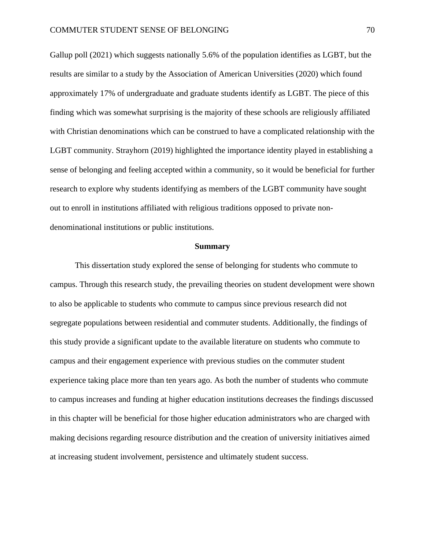Gallup poll (2021) which suggests nationally 5.6% of the population identifies as LGBT, but the results are similar to a study by the Association of American Universities (2020) which found approximately 17% of undergraduate and graduate students identify as LGBT. The piece of this finding which was somewhat surprising is the majority of these schools are religiously affiliated with Christian denominations which can be construed to have a complicated relationship with the LGBT community. Strayhorn (2019) highlighted the importance identity played in establishing a sense of belonging and feeling accepted within a community, so it would be beneficial for further research to explore why students identifying as members of the LGBT community have sought out to enroll in institutions affiliated with religious traditions opposed to private nondenominational institutions or public institutions.

#### **Summary**

This dissertation study explored the sense of belonging for students who commute to campus. Through this research study, the prevailing theories on student development were shown to also be applicable to students who commute to campus since previous research did not segregate populations between residential and commuter students. Additionally, the findings of this study provide a significant update to the available literature on students who commute to campus and their engagement experience with previous studies on the commuter student experience taking place more than ten years ago. As both the number of students who commute to campus increases and funding at higher education institutions decreases the findings discussed in this chapter will be beneficial for those higher education administrators who are charged with making decisions regarding resource distribution and the creation of university initiatives aimed at increasing student involvement, persistence and ultimately student success.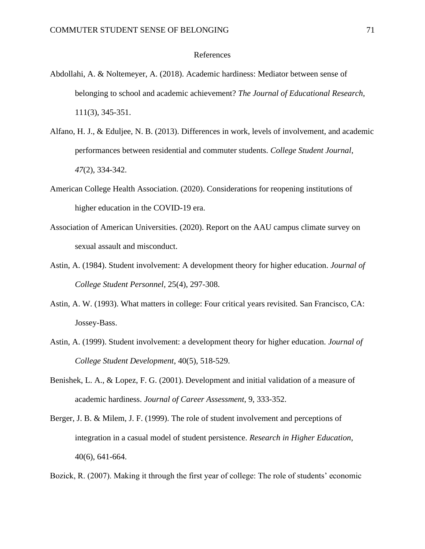### References

- Abdollahi, A. & Noltemeyer, A. (2018). Academic hardiness: Mediator between sense of belonging to school and academic achievement? *The Journal of Educational Research,* 111(3), 345-351.
- Alfano, H. J., & Eduljee, N. B. (2013). Differences in work, levels of involvement, and academic performances between residential and commuter students. *College Student Journal*, *47*(2), 334-342.
- American College Health Association. (2020). Considerations for reopening institutions of higher education in the COVID-19 era.
- Association of American Universities. (2020). Report on the AAU campus climate survey on sexual assault and misconduct.
- Astin, A. (1984). Student involvement: A development theory for higher education. *Journal of College Student Personnel,* 25(4), 297-308.
- Astin, A. W. (1993). What matters in college: Four critical years revisited. San Francisco, CA: Jossey-Bass.
- Astin, A. (1999). Student involvement: a development theory for higher education. *Journal of College Student Development*, 40(5), 518-529.
- Benishek, L. A., & Lopez, F. G. (2001). Development and initial validation of a measure of academic hardiness. *Journal of Career Assessment*, 9, 333-352.
- Berger, J. B. & Milem, J. F. (1999). The role of student involvement and perceptions of integration in a casual model of student persistence. *Research in Higher Education*, 40(6), 641-664.

Bozick, R. (2007). Making it through the first year of college: The role of students' economic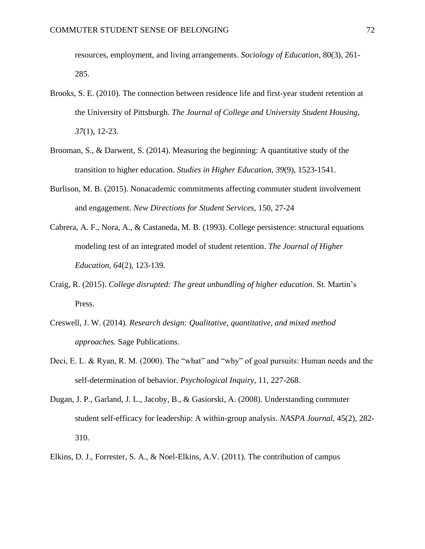resources, employment, and living arrangements. *Sociology of Education*, 80(3), 261- 285.

- Brooks, S. E. (2010). The connection between residence life and first-year student retention at the University of Pittsburgh. *The Journal of College and University Student Housing, 37*(1), 12-23.
- Brooman, S., & Darwent, S. (2014). Measuring the beginning: A quantitative study of the transition to higher education. *Studies in Higher Education, 39*(9), 1523-1541.
- Burlison, M. B. (2015). Nonacademic commitments affecting commuter student involvement and engagement. *New Directions for Student Services,* 150, 27-24
- Cabrera, A. F., Nora, A., & Castaneda, M. B. (1993). College persistence: structural equations modeling test of an integrated model of student retention. *The Journal of Higher Education, 64*(2), 123-139.
- Craig, R. (2015). *College disrupted: The great unbundling of higher education.* St. Martin's Press.
- Creswell, J. W. (2014). *Research design: Qualitative, quantitative, and mixed method approaches.* Sage Publications.
- Deci, E. L. & Ryan, R. M. (2000). The "what" and "why" of goal pursuits: Human needs and the self-determination of behavior. *Psychological Inquiry,* 11, 227-268.
- Dugan, J. P., Garland, J. L., Jacoby, B., & Gasiorski, A. (2008). Understanding commuter student self-efficacy for leadership: A within-group analysis. *NASPA Journal*, 45(2), 282- 310.
- Elkins, D. J., Forrester, S. A., & Noel-Elkins, A.V. (2011). The contribution of campus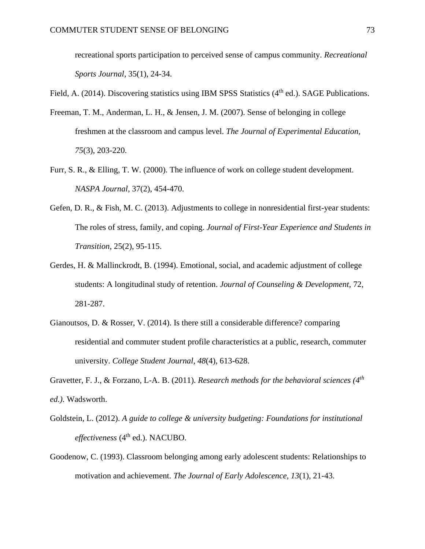recreational sports participation to perceived sense of campus community. *Recreational Sports Journal,* 35(1), 24-34.

Field, A. (2014). Discovering statistics using IBM SPSS Statistics  $(4<sup>th</sup>$  ed.). SAGE Publications.

- Freeman, T. M., Anderman, L. H., & Jensen, J. M. (2007). Sense of belonging in college freshmen at the classroom and campus level. *The Journal of Experimental Education, 75*(3), 203-220.
- Furr, S. R., & Elling, T. W. (2000). The influence of work on college student development. *NASPA Journal*, 37(2), 454-470.
- Gefen, D. R., & Fish, M. C. (2013). Adjustments to college in nonresidential first-year students: The roles of stress, family, and coping. *Journal of First-Year Experience and Students in Transition,* 25(2), 95-115.
- Gerdes, H. & Mallinckrodt, B. (1994). Emotional, social, and academic adjustment of college students: A longitudinal study of retention. *Journal of Counseling & Development,* 72, 281-287.
- Gianoutsos, D. & Rosser, V. (2014). Is there still a considerable difference? comparing residential and commuter student profile characteristics at a public, research, commuter university. *College Student Journal, 48*(4), 613-628.
- Gravetter, F. J., & Forzano, L-A. B. (2011). *Research methods for the behavioral sciences (4th ed.).* Wadsworth.
- Goldstein, L. (2012). *A guide to college & university budgeting: Foundations for institutional effectiveness* (4th ed.). NACUBO.
- Goodenow, C. (1993). Classroom belonging among early adolescent students: Relationships to motivation and achievement. *The Journal of Early Adolescence, 13*(1), 21-43.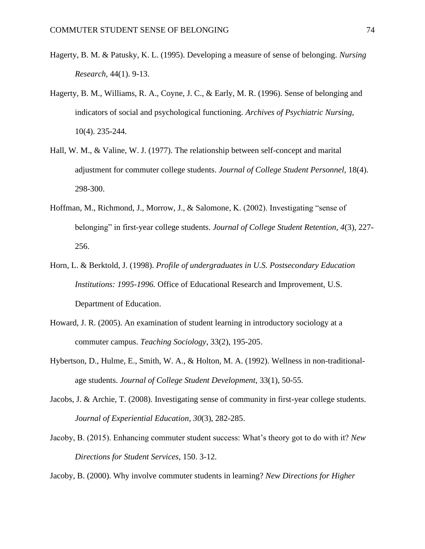- Hagerty, B. M. & Patusky, K. L. (1995). Developing a measure of sense of belonging. *Nursing Research,* 44(1). 9-13.
- Hagerty, B. M., Williams, R. A., Coyne, J. C., & Early, M. R. (1996). Sense of belonging and indicators of social and psychological functioning. *Archives of Psychiatric Nursing,* 10(4). 235-244.
- Hall, W. M., & Valine, W. J. (1977). The relationship between self-concept and marital adjustment for commuter college students. *Journal of College Student Personnel,* 18(4). 298-300.
- Hoffman, M., Richmond, J., Morrow, J., & Salomone, K. (2002). Investigating "sense of belonging" in first-year college students. *Journal of College Student Retention, 4*(3), 227- 256.
- Horn, L. & Berktold, J. (1998). *Profile of undergraduates in U.S. Postsecondary Education Institutions: 1995-1996.* Office of Educational Research and Improvement, U.S. Department of Education.
- Howard, J. R. (2005). An examination of student learning in introductory sociology at a commuter campus. *Teaching Sociology*, 33(2), 195-205.
- Hybertson, D., Hulme, E., Smith, W. A., & Holton, M. A. (1992). Wellness in non-traditionalage students. *Journal of College Student Development,* 33(1), 50-55.
- Jacobs, J. & Archie, T. (2008). Investigating sense of community in first-year college students. *Journal of Experiential Education, 30*(3), 282-285.
- Jacoby, B. (2015). Enhancing commuter student success: What's theory got to do with it? *New Directions for Student Services*, 150. 3-12.

Jacoby, B. (2000). Why involve commuter students in learning? *New Directions for Higher*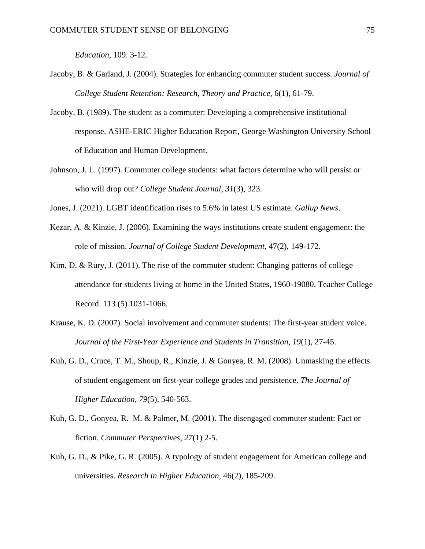*Education*, 109. 3-12.

- Jacoby, B. & Garland, J. (2004). Strategies for enhancing commuter student success. *Journal of College Student Retention: Research, Theory and Practice,* 6(1), 61-79.
- Jacoby, B. (1989). The student as a commuter: Developing a comprehensive institutional response. ASHE-ERIC Higher Education Report, George Washington University School of Education and Human Development.
- Johnson, J. L. (1997). Commuter college students: what factors determine who will persist or who will drop out? *College Student Journal*, *31*(3), 323.
- Jones, J. (2021). LGBT identification rises to 5.6% in latest US estimate. *Gallup News*.
- Kezar, A. & Kinzie, J. (2006). Examining the ways institutions create student engagement: the role of mission. *Journal of College Student Development*, 47(2), 149-172.
- Kim, D. & Rury, J. (2011). The rise of the commuter student: Changing patterns of college attendance for students living at home in the United States, 1960-19080. Teacher College Record. 113 (5) 1031-1066.
- Krause, K. D. (2007). Social involvement and commuter students: The first-year student voice. *Journal of the First-Year Experience and Students in Transition, 19*(1), 27-45.
- Kuh, G. D., Cruce, T. M., Shoup, R., Kinzie, J. & Gonyea, R. M. (2008). Unmasking the effects of student engagement on first-year college grades and persistence. *The Journal of Higher Education, 79*(5), 540-563.
- Kuh, G. D., Gonyea, R. M. & Palmer, M. (2001). The disengaged commuter student: Fact or fiction. *Commuter Perspectives, 27*(1) 2-5.
- Kuh, G. D., & Pike, G. R. (2005). A typology of student engagement for American college and universities. *Research in Higher Education,* 46(2), 185-209.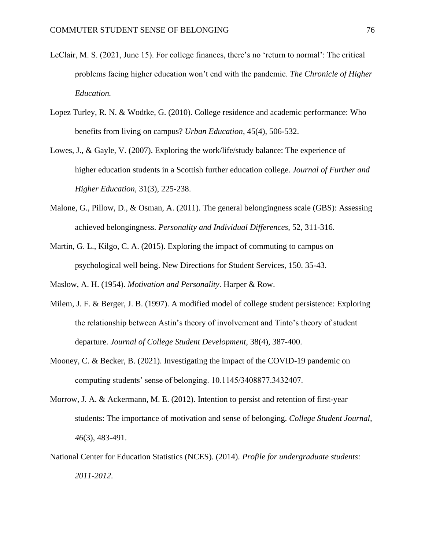- LeClair, M. S. (2021, June 15). For college finances, there's no 'return to normal': The critical problems facing higher education won't end with the pandemic. *The Chronicle of Higher Education.*
- Lopez Turley, R. N. & Wodtke, G. (2010). College residence and academic performance: Who benefits from living on campus? *Urban Education*, 45(4), 506-532.
- Lowes, J., & Gayle, V. (2007). Exploring the work/life/study balance: The experience of higher education students in a Scottish further education college. *Journal of Further and Higher Education*, 31(3), 225-238.
- Malone, G., Pillow, D., & Osman, A. (2011). The general belongingness scale (GBS): Assessing achieved belongingness. *Personality and Individual Differences,* 52, 311-316.
- Martin, G. L., Kilgo, C. A. (2015). Exploring the impact of commuting to campus on psychological well being. New Directions for Student Services, 150. 35-43.

Maslow, A. H. (1954). *Motivation and Personality*. Harper & Row.

- Milem, J. F. & Berger, J. B. (1997). A modified model of college student persistence: Exploring the relationship between Astin's theory of involvement and Tinto's theory of student departure. *Journal of College Student Development,* 38(4), 387-400.
- Mooney, C. & Becker, B. (2021). Investigating the impact of the COVID-19 pandemic on computing students' sense of belonging. 10.1145/3408877.3432407.
- Morrow, J. A. & Ackermann, M. E. (2012). Intention to persist and retention of first-year students: The importance of motivation and sense of belonging. *College Student Journal, 46*(3), 483-491.
- National Center for Education Statistics (NCES). (2014). *Profile for undergraduate students: 2011-2012*.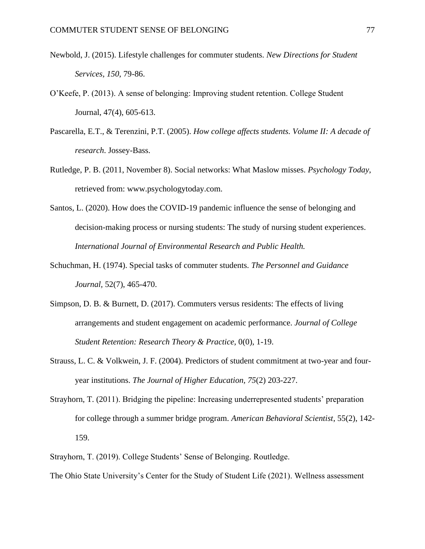- Newbold, J. (2015). Lifestyle challenges for commuter students. *New Directions for Student Services, 150*, 79-86.
- O'Keefe, P. (2013). A sense of belonging: Improving student retention. College Student Journal, 47(4), 605-613.
- Pascarella, E.T., & Terenzini, P.T. (2005). *How college affects students. Volume II: A decade of research*. Jossey-Bass.
- Rutledge, P. B. (2011, November 8). Social networks: What Maslow misses. *Psychology Today*, retrieved from: www.psychologytoday.com.
- Santos, L. (2020). How does the COVID-19 pandemic influence the sense of belonging and decision-making process or nursing students: The study of nursing student experiences. *International Journal of Environmental Research and Public Health.*
- Schuchman, H. (1974). Special tasks of commuter students. *The Personnel and Guidance Journal,* 52(7), 465-470.
- Simpson, D. B. & Burnett, D. (2017). Commuters versus residents: The effects of living arrangements and student engagement on academic performance. *Journal of College Student Retention: Research Theory & Practice,* 0(0), 1-19.
- Strauss, L. C. & Volkwein, J. F. (2004). Predictors of student commitment at two-year and fouryear institutions. *The Journal of Higher Education, 75*(2) 203-227.
- Strayhorn, T. (2011). Bridging the pipeline: Increasing underrepresented students' preparation for college through a summer bridge program. *American Behavioral Scientist*, 55(2), 142- 159.
- Strayhorn, T. (2019). College Students' Sense of Belonging. Routledge.
- The Ohio State University's Center for the Study of Student Life (2021). Wellness assessment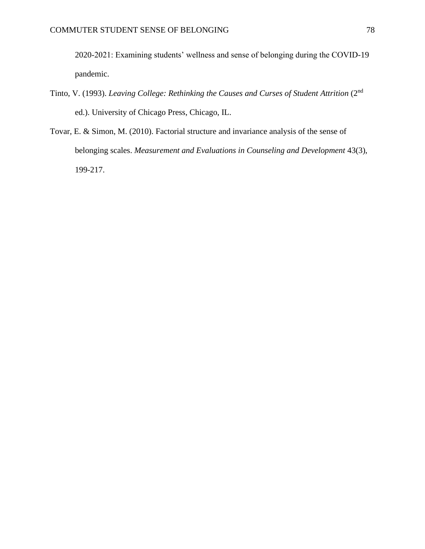2020-2021: Examining students' wellness and sense of belonging during the COVID-19 pandemic.

- Tinto, V. (1993). *Leaving College: Rethinking the Causes and Curses of Student Attrition* (2nd ed.). University of Chicago Press, Chicago, IL.
- Tovar, E. & Simon, M. (2010). Factorial structure and invariance analysis of the sense of belonging scales. *Measurement and Evaluations in Counseling and Development* 43(3), 199-217.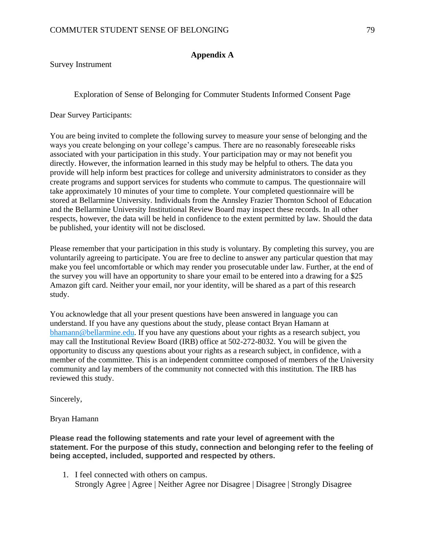## **Appendix A**

Survey Instrument

Exploration of Sense of Belonging for Commuter Students Informed Consent Page

Dear Survey Participants:

You are being invited to complete the following survey to measure your sense of belonging and the ways you create belonging on your college's campus. There are no reasonably foreseeable risks associated with your participation in this study. Your participation may or may not benefit you directly. However, the information learned in this study may be helpful to others. The data you provide will help inform best practices for college and university administrators to consider as they create programs and support services for students who commute to campus. The questionnaire will take approximately 10 minutes of your time to complete. Your completed questionnaire will be stored at Bellarmine University. Individuals from the Annsley Frazier Thornton School of Education and the Bellarmine University Institutional Review Board may inspect these records. In all other respects, however, the data will be held in confidence to the extent permitted by law. Should the data be published, your identity will not be disclosed.

Please remember that your participation in this study is voluntary. By completing this survey, you are voluntarily agreeing to participate. You are free to decline to answer any particular question that may make you feel uncomfortable or which may render you prosecutable under law. Further, at the end of the survey you will have an opportunity to share your email to be entered into a drawing for a \$25 Amazon gift card. Neither your email, nor your identity, will be shared as a part of this research study.

You acknowledge that all your present questions have been answered in language you can understand. If you have any questions about the study, please contact Bryan Hamann at [bhamann@bellarmine.edu.](mailto:bhamann@bellarmine.edu) If you have any questions about your rights as a research subject, you may call the Institutional Review Board (IRB) office at 502-272-8032. You will be given the opportunity to discuss any questions about your rights as a research subject, in confidence, with a member of the committee. This is an independent committee composed of members of the University community and lay members of the community not connected with this institution. The IRB has reviewed this study.

Sincerely,

Bryan Hamann

## **Please read the following statements and rate your level of agreement with the statement. For the purpose of this study, connection and belonging refer to the feeling of being accepted, included, supported and respected by others.**

1. I feel connected with others on campus. Strongly Agree | Agree | Neither Agree nor Disagree | Disagree | Strongly Disagree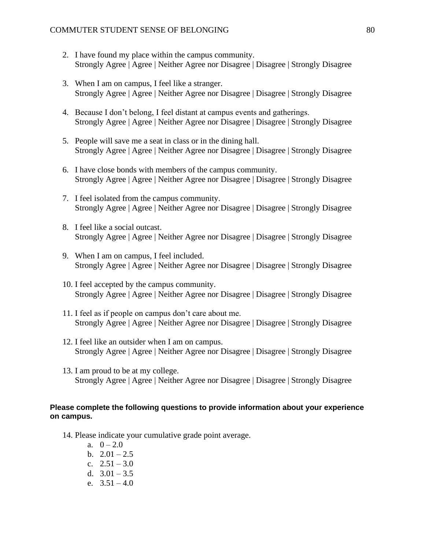- 2. I have found my place within the campus community. Strongly Agree | Agree | Neither Agree nor Disagree | Disagree | Strongly Disagree
- 3. When I am on campus, I feel like a stranger. Strongly Agree | Agree | Neither Agree nor Disagree | Disagree | Strongly Disagree
- 4. Because I don't belong, I feel distant at campus events and gatherings. Strongly Agree | Agree | Neither Agree nor Disagree | Disagree | Strongly Disagree
- 5. People will save me a seat in class or in the dining hall. Strongly Agree | Agree | Neither Agree nor Disagree | Disagree | Strongly Disagree
- 6. I have close bonds with members of the campus community. Strongly Agree | Agree | Neither Agree nor Disagree | Disagree | Strongly Disagree
- 7. I feel isolated from the campus community. Strongly Agree | Agree | Neither Agree nor Disagree | Disagree | Strongly Disagree
- 8. I feel like a social outcast. Strongly Agree | Agree | Neither Agree nor Disagree | Disagree | Strongly Disagree
- 9. When I am on campus, I feel included. Strongly Agree | Agree | Neither Agree nor Disagree | Disagree | Strongly Disagree
- 10. I feel accepted by the campus community. Strongly Agree | Agree | Neither Agree nor Disagree | Disagree | Strongly Disagree
- 11. I feel as if people on campus don't care about me. Strongly Agree | Agree | Neither Agree nor Disagree | Disagree | Strongly Disagree
- 12. I feel like an outsider when I am on campus. Strongly Agree | Agree | Neither Agree nor Disagree | Disagree | Strongly Disagree
- 13. I am proud to be at my college. Strongly Agree | Agree | Neither Agree nor Disagree | Disagree | Strongly Disagree

## **Please complete the following questions to provide information about your experience on campus.**

- 14. Please indicate your cumulative grade point average.
	- a.  $0 2.0$ b.  $2.01 - 2.5$ c.  $2.51 - 3.0$
	- d.  $3.01 3.5$
	- e.  $3.51 4.0$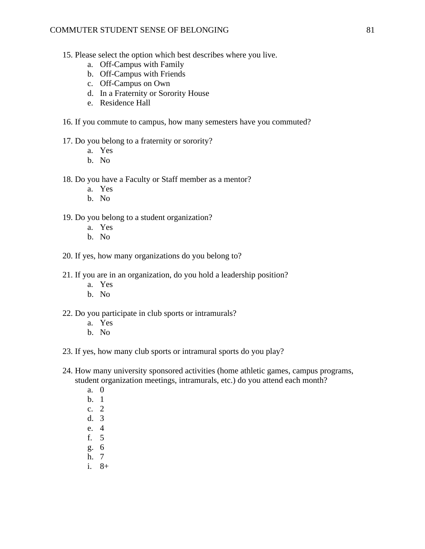- 15. Please select the option which best describes where you live.
	- a. Off-Campus with Family
	- b. Off-Campus with Friends
	- c. Off-Campus on Own
	- d. In a Fraternity or Sorority House
	- e. Residence Hall
- 16. If you commute to campus, how many semesters have you commuted?

#### 17. Do you belong to a fraternity or sorority?

- a. Yes
- b. No

# 18. Do you have a Faculty or Staff member as a mentor?

- a. Yes
- b. No
- 19. Do you belong to a student organization?
	- a. Yes
	- b. No
- 20. If yes, how many organizations do you belong to?
- 21. If you are in an organization, do you hold a leadership position?
	- a. Yes
	- b. No
- 22. Do you participate in club sports or intramurals?
	- a. Yes
	- b. No
- 23. If yes, how many club sports or intramural sports do you play?
- 24. How many university sponsored activities (home athletic games, campus programs, student organization meetings, intramurals, etc.) do you attend each month?
	- a. 0
	- b. 1
	- c. 2
	- d. 3
	- e. 4
	- f. 5
	- g. 6
	- h. 7
	- i. 8+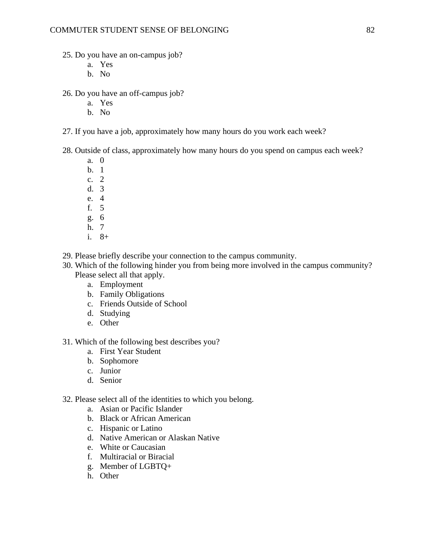- 25. Do you have an on-campus job?
	- a. Yes
	- b. No
- 26. Do you have an off-campus job?
	- a. Yes
	- b. No
- 27. If you have a job, approximately how many hours do you work each week?
- 28. Outside of class, approximately how many hours do you spend on campus each week?
	- a. 0
	- b. 1
	- c. 2
	- d. 3
	- e. 4 f. 5
	- g. 6
	- h. 7
	- i. 8+
- 29. Please briefly describe your connection to the campus community.
- 30. Which of the following hinder you from being more involved in the campus community? Please select all that apply.
	- a. Employment
	- b. Family Obligations
	- c. Friends Outside of School
	- d. Studying
	- e. Other
- 31. Which of the following best describes you?
	- a. First Year Student
	- b. Sophomore
	- c. Junior
	- d. Senior
- 32. Please select all of the identities to which you belong.
	- a. Asian or Pacific Islander
	- b. Black or African American
	- c. Hispanic or Latino
	- d. Native American or Alaskan Native
	- e. White or Caucasian
	- f. Multiracial or Biracial
	- g. Member of LGBTQ+
	- h. Other